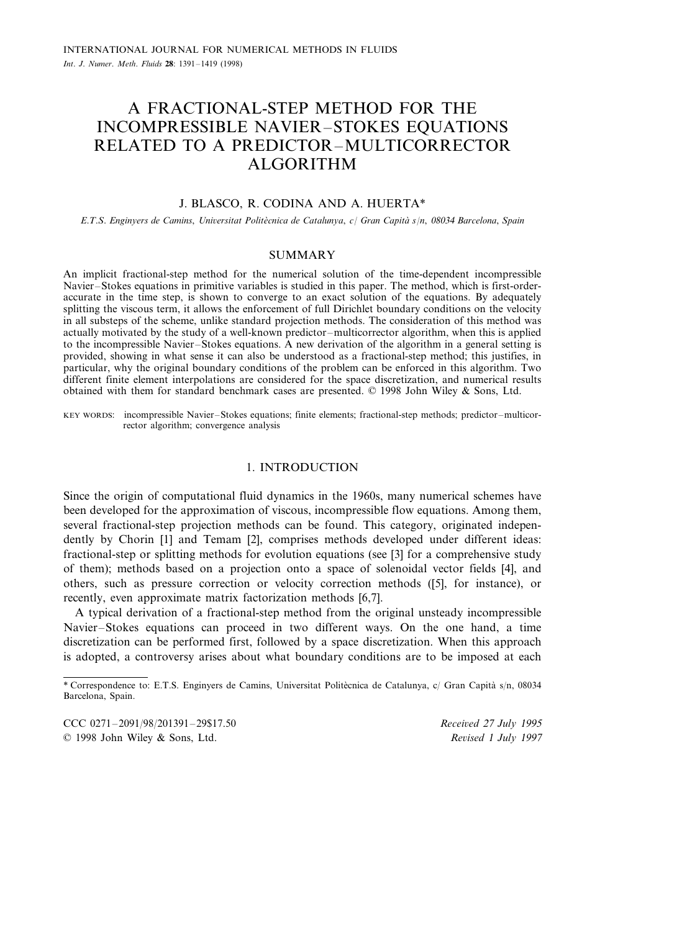# A FRACTIONAL-STEP METHOD FOR THE INCOMPRESSIBLE NAVIER–STOKES EQUATIONS RELATED TO A PREDICTOR–MULTICORRECTOR ALGORITHM

#### J. BLASCO, R. CODINA AND A. HUERTA\*

*E*.*T*.*S*. *Enginyers de Camins*, *Uni*6*ersitat Polite`cnica de Catalunya*, *c*/ *Gran Capita` s*/*n*, <sup>08034</sup> *Barcelona*, *Spain*

#### **SUMMARY**

An implicit fractional-step method for the numerical solution of the time-dependent incompressible Navier–Stokes equations in primitive variables is studied in this paper. The method, which is first-orderaccurate in the time step, is shown to converge to an exact solution of the equations. By adequately splitting the viscous term, it allows the enforcement of full Dirichlet boundary conditions on the velocity in all substeps of the scheme, unlike standard projection methods. The consideration of this method was actually motivated by the study of a well-known predictor–multicorrector algorithm, when this is applied to the incompressible Navier–Stokes equations. A new derivation of the algorithm in a general setting is provided, showing in what sense it can also be understood as a fractional-step method; this justifies, in particular, why the original boundary conditions of the problem can be enforced in this algorithm. Two different finite element interpolations are considered for the space discretization, and numerical results obtained with them for standard benchmark cases are presented. © 1998 John Wiley & Sons, Ltd.

KEY WORDS: incompressible Navier–Stokes equations; finite elements; fractional-step methods; predictor–multicorrector algorithm; convergence analysis

#### 1. INTRODUCTION

Since the origin of computational fluid dynamics in the 1960s, many numerical schemes have been developed for the approximation of viscous, incompressible flow equations. Among them, several fractional-step projection methods can be found. This category, originated independently by Chorin [1] and Temam [2], comprises methods developed under different ideas: fractional-step or splitting methods for evolution equations (see [3] for a comprehensive study of them); methods based on a projection onto a space of solenoidal vector fields [4], and others, such as pressure correction or velocity correction methods ([5], for instance), or recently, even approximate matrix factorization methods [6,7].

A typical derivation of a fractional-step method from the original unsteady incompressible Navier–Stokes equations can proceed in two different ways. On the one hand, a time discretization can be performed first, followed by a space discretization. When this approach is adopted, a controversy arises about what boundary conditions are to be imposed at each

CCC 0271–2091/98/201391–29\$17.50 © 1998 John Wiley & Sons, Ltd.

*Recei*6*ed* <sup>27</sup> *July* <sup>1995</sup> *Re*6*ised* <sup>1</sup> *July* <sup>1997</sup>

<sup>\*</sup> Correspondence to: E.T.S. Enginyers de Camins, Universitat Polite`cnica de Catalunya, c/ Gran Capita` s/n, 08034 Barcelona, Spain.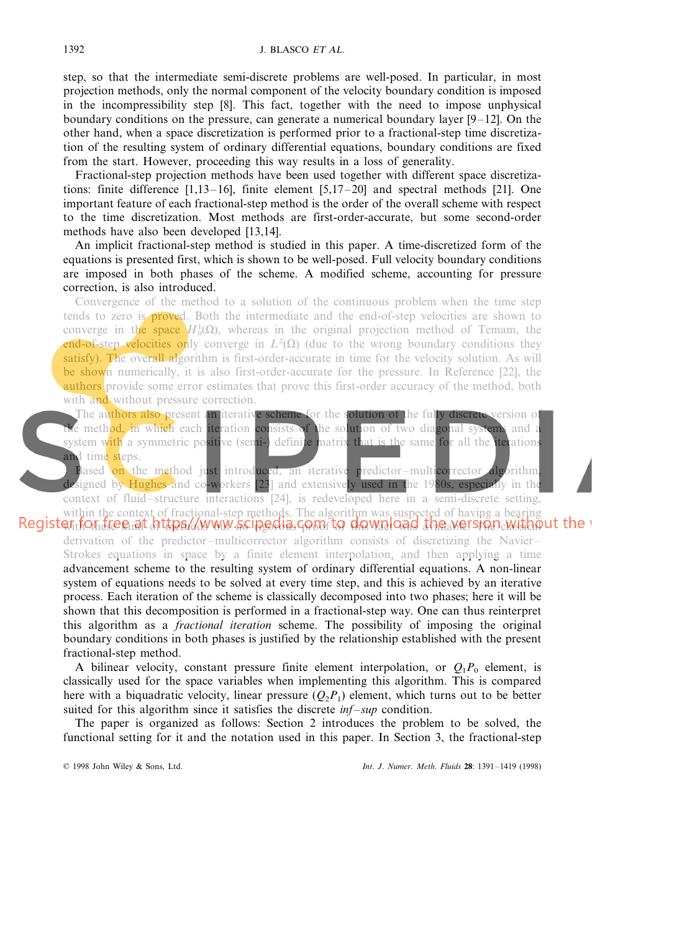step, so that the intermediate semi-discrete problems are well-posed. In particular, in most projection methods, only the normal component of the velocity boundary condition is imposed in the incompressibility step [8]. This fact, together with the need to impose unphysical boundary conditions on the pressure, can generate a numerical boundary layer [9–12]. On the other hand, when a space discretization is performed prior to a fractional-step time discretization of the resulting system of ordinary differential equations, boundary conditions are fixed from the start. However, proceeding this way results in a loss of generality.

Fractional-step projection methods have been used together with different space discretizations: finite difference  $[1,13-16]$ , finite element  $[5,17-20]$  and spectral methods  $[21]$ . One important feature of each fractional-step method is the order of the overall scheme with respect to the time discretization. Most methods are first-order-accurate, but some second-order methods have also been developed [13,14].

An implicit fractional-step method is studied in this paper. A time-discretized form of the equations is presented first, which is shown to be well-posed. Full velocity boundary conditions are imposed in both phases of the scheme. A modified scheme, accounting for pressure correction, is also introduced.

Convergence of the method to a solution of the continuous problem when the time step tends to zero is proved. Both the intermediate and the end-of-step velocities are shown to converge in the space  $H_0^1(\Omega)$ , whereas in the original projection method of Temam, the end-of-step velocities only converge in  $L^2(\Omega)$  (due to the wrong boundary conditions they satisfy). The overall algorithm is first-order-accurate in time for the velocity solution. As will be shown numerically, it is also first-order-accurate for the pressure. In Reference [22], the authors provide some error estimates that prove this first-order accuracy of the method, both with and without pressure correction.

The authors also present an iterative scheme for the solution of the fully discrete version of the method, in which each iteration consists of the solution of two diagonal systems and a system with a symmetric positive (semi-) definite matrix that is the same for all the iterations and time steps.

Based on the method just introduced, an iterative predictor–multicorrector algorithm designed by Hughes and co-workers [23] and extensively used in the 1980s, especially in the context of fluid–structure interactions [24], is redeveloped here in a semi-discrete setting,

# within the context of fractional-step methods. The algorithm was suspected of having a bearing Registerifon free at https://www.scipedia.com to dewnload the version without the

derivation of the predictor–multicorrector algorithm consists of discretizing the Navier– Strokes equations in space by a finite element interpolation, and then applying a time advancement scheme to the resulting system of ordinary differential equations. A non-linear system of equations needs to be solved at every time step, and this is achieved by an iterative process. Each iteration of the scheme is classically decomposed into two phases; here it will be shown that this decomposition is performed in a fractional-step way. One can thus reinterpret this algorithm as a *fractional iteration* scheme. The possibility of imposing the original boundary conditions in both phases is justified by the relationship established with the present fractional-step method.

A bilinear velocity, constant pressure finite element interpolation, or  $Q_1P_0$  element, is classically used for the space variables when implementing this algorithm. This is compared here with a biquadratic velocity, linear pressure  $(Q_2P_1)$  element, which turns out to be better suited for this algorithm since it satisfies the discrete *inf*–*sup* condition.

The paper is organized as follows: Section 2 introduces the problem to be solved, the functional setting for it and the notation used in this paper. In Section 3, the fractional-step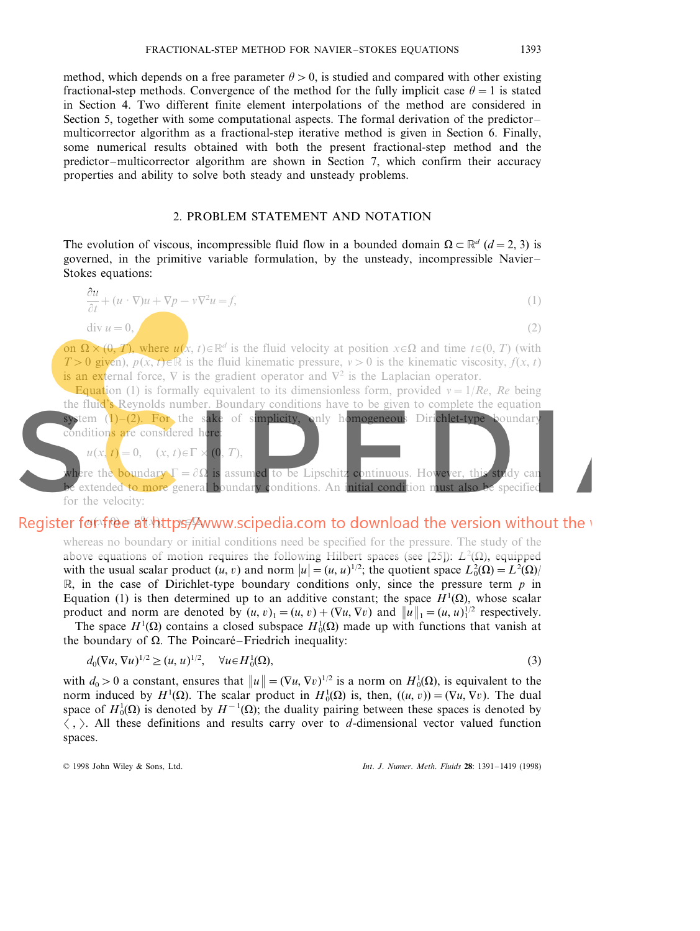method, which depends on a free parameter  $\theta > 0$ , is studied and compared with other existing fractional-step methods. Convergence of the method for the fully implicit case  $\theta=1$  is stated in Section 4. Two different finite element interpolations of the method are considered in Section 5, together with some computational aspects. The formal derivation of the predictor– multicorrector algorithm as a fractional-step iterative method is given in Section 6. Finally, some numerical results obtained with both the present fractional-step method and the predictor–multicorrector algorithm are shown in Section 7, which confirm their accuracy properties and ability to solve both steady and unsteady problems.

#### 2. PROBLEM STATEMENT AND NOTATION

The evolution of viscous, incompressible fluid flow in a bounded domain  $\Omega \subset \mathbb{R}^d$  (*d* = 2, 3) is governed, in the primitive variable formulation, by the unsteady, incompressible Navier– Stokes equations:

$$
\frac{\partial u}{\partial t} + (u \cdot \nabla)u + \nabla p - v\nabla^2 u = f,\tag{1}
$$

$$
\text{div } u = 0,\tag{2}
$$

on  $\Omega \times (0, T)$ , where  $u(x, t) \in \mathbb{R}^d$  is the fluid velocity at position  $x \in \Omega$  and time  $t \in (0, T)$  (with  $T > 0$  given),  $p(x, t) \in \mathbb{R}$  is the fluid kinematic pressure,  $v > 0$  is the kinematic viscosity,  $f(x, t)$ is an external force,  $\nabla$  is the gradient operator and  $\nabla^2$  is the Laplacian operator.

**Equation** (1) is formally equivalent to its dimensionless form, provided  $v=1/Re$ ,  $Re$  being the fluid's Reynolds number. Boundary conditions have to be given to complete the equation system  $(1)-(2)$ . For the sake of simplicity, only homogeneous Dirichlet-type boundary

conditions are considered here

 $u(x, t) = 0$ ,  $(x, t) \in \Gamma \times (0, T)$ ,

where the boundary  $\Gamma = \partial \Omega$  is assumed to be Lipschitz continuous. However, this study can be extended to more general boundary conditions. An initial condition must also be specified for the velocity:

# **u**(*x*), the at https://

whereas no boundary or initial conditions need be specified for the pressure. The study of the above equations of motion requires the following Hilbert spaces (see [25]):  $L^2(\Omega)$ , equipped with the usual scalar product  $(u, v)$  and norm  $|u| = (u, u)^{1/2}$ ; the quotient space  $L_0^2(\Omega) = L^2(\Omega)/$ R, in the case of Dirichlet-type boundary conditions only, since the pressure term *p* in Equation (1) is then determined up to an additive constant; the space  $H^1(\Omega)$ , whose scalar product and norm are denoted by  $(u, v)_1 = (u, v) + (\nabla u, \nabla v)$  and  $||u||_1 = (u, u)_1^{1/2}$  respectively.

The space  $H^1(\Omega)$  contains a closed subspace  $H_0^1(\Omega)$  made up with functions that vanish at the boundary of  $\Omega$ . The Poincaré–Friedrich inequality:

$$
d_0(\nabla u, \nabla u)^{1/2} \ge (u, u)^{1/2}, \quad \forall u \in H_0^1(\Omega),
$$
\n(3)

with  $d_0 > 0$  a constant, ensures that  $||u|| = (\nabla u, \nabla v)^{1/2}$  is a norm on  $H_0^1(\Omega)$ , is equivalent to the norm induced by  $H^1(\Omega)$ . The scalar product in  $H_0^1(\Omega)$  is, then,  $((u, v)) = (\nabla u, \nabla v)$ . The dual space of  $H_0^1(\Omega)$  is denoted by  $H^{-1}(\Omega)$ ; the duality pairing between these spaces is denoted by  $\langle , \rangle$ . All these definitions and results carry over to *d*-dimensional vector valued function spaces.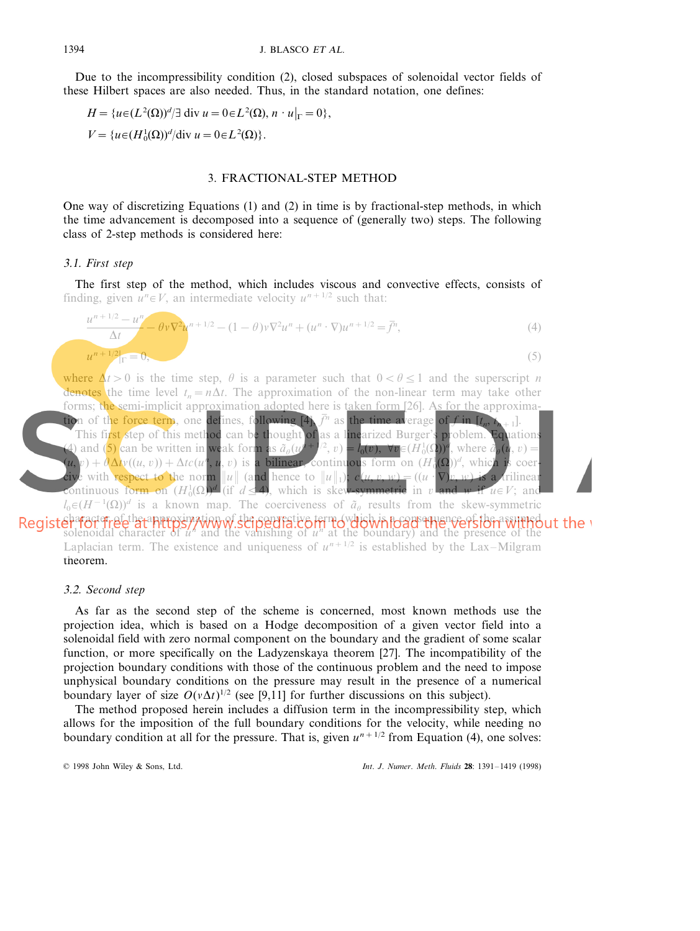Due to the incompressibility condition (2), closed subspaces of solenoidal vector fields of these Hilbert spaces are also needed. Thus, in the standard notation, one defines:

$$
H = \{u \in (L^2(\Omega))^d | \exists \text{ div } u = 0 \in L^2(\Omega), n \cdot u \vert_{\Gamma} = 0\},\
$$
  

$$
V = \{u \in (H_0^1(\Omega))^d | \text{div } u = 0 \in L^2(\Omega)\}.
$$

#### 3. FRACTIONAL-STEP METHOD

One way of discretizing Equations (1) and (2) in time is by fractional-step methods, in which the time advancement is decomposed into a sequence of (generally two) steps. The following class of 2-step methods is considered here:

#### 3.1. *First step*

 $u^{n+1/2}$ 

The first step of the method, which includes viscous and convective effects, consists of finding, given  $u^n \in V$ , an intermediate velocity  $u^{n+1/2}$  such that:

$$
\frac{u^{n+1/2} - u^n}{\Delta t} - \theta v \nabla^2 u^{n+1/2} - (1 - \theta) v \nabla^2 u^n + (u^n \cdot \nabla) u^{n+1/2} = \bar{f}^n,\tag{4}
$$

$$
\Gamma = 0,\tag{5}
$$

where  $\Delta t > 0$  is the time step,  $\theta$  is a parameter such that  $0 < \theta \leq 1$  and the superscript *n* denotes the time level  $t_n = n\Delta t$ . The approximation of the non-linear term may take other forms; the semi-implicit approximation adopted here is taken form [26]. As for the approxima-

tion of the force term, one defines, following  $[4]$ ,  $\bar{f}^n$  as the time average of *f* in  $[t_n, t_{n+1}]$ . This first step of this method can be thought of as a linearized Burger's problem. Equations (4) and (5) can be written in weak form as  $\tilde{a}_{\theta}(u^{n+1/2}, v) = l_0(v)$ ,  $\forall v \in (H_0^1(\Omega))^d$ , where  $\tilde{a}_{\theta}(u, v) =$  $(u, v) + \theta \Delta t v((u, v)) + \Delta t c(u^n, u, v)$  is a bilinear, continuous form on  $(H_0^1(\Omega))^d$ , which is coercive with respect to the norm  $||u||$  (and hence to  $||u||_1$ );  $c(u, v, w) = ((u \cdot \nabla)v, w)$  is a trilinear continuous form on  $(H_0^1(\Omega))^d$  (if  $d \leq 4$ ), which is skew-symmetric in  $v$  and  $w$  if  $u \in V$ ; and *l*<sub>0</sub>∈( $H^{-1}(\Omega)$ <sup>d</sup> is a known map. The coerciveness of  $\tilde{a}_{\theta}$  results from the skew-symmetric

Register for the approximation of the convertible term and the consequence of the animal the solenoidal character of  $u^n$  and the vanishing of  $u^n$  at the boundary) and the presence of the Laplacian term. The existence and uniqueness of  $u^{n+1/2}$  is established by the Lax–Milgram theorem.

#### 3.2. *Second step*

As far as the second step of the scheme is concerned, most known methods use the projection idea, which is based on a Hodge decomposition of a given vector field into a solenoidal field with zero normal component on the boundary and the gradient of some scalar function, or more specifically on the Ladyzenskaya theorem [27]. The incompatibility of the projection boundary conditions with those of the continuous problem and the need to impose unphysical boundary conditions on the pressure may result in the presence of a numerical boundary layer of size  $O(v\Delta t)^{1/2}$  (see [9,11] for further discussions on this subject).

The method proposed herein includes a diffusion term in the incompressibility step, which allows for the imposition of the full boundary conditions for the velocity, while needing no boundary condition at all for the pressure. That is, given  $u^{n+1/2}$  from Equation (4), one solves: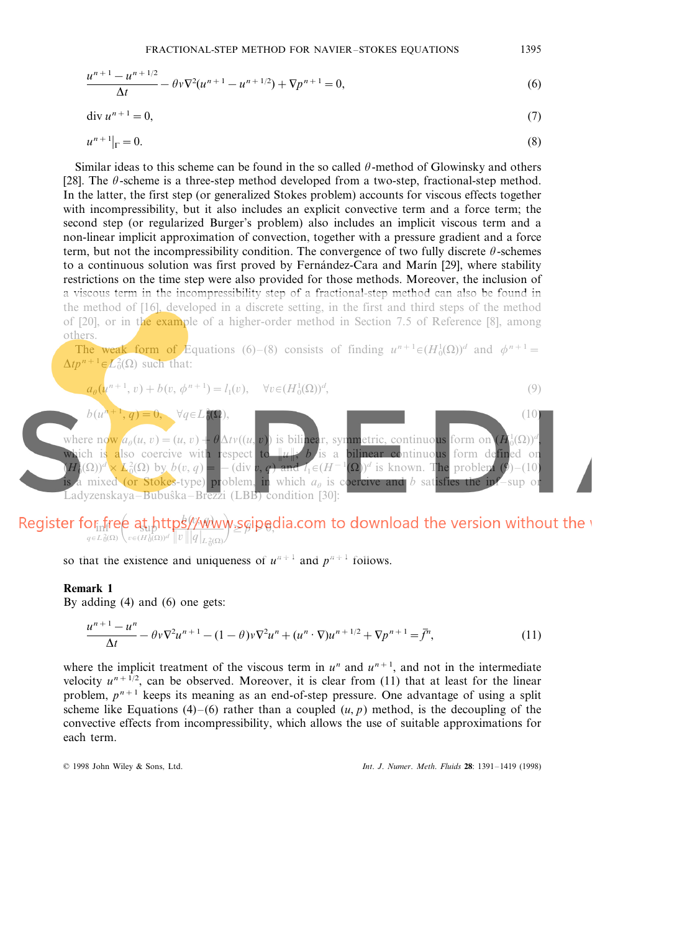$$
\frac{u^{n+1} - u^{n+1/2}}{\Delta t} - \theta v \nabla^2 (u^{n+1} - u^{n+1/2}) + \nabla p^{n+1} = 0,
$$
\n(6)

$$
\operatorname{div} u^{n+1} = 0,\tag{7}
$$

$$
u^{n+1}|_{\Gamma} = 0.\tag{8}
$$

Similar ideas to this scheme can be found in the so called  $\theta$ -method of Glowinsky and others [28]. The  $\theta$ -scheme is a three-step method developed from a two-step, fractional-step method. In the latter, the first step (or generalized Stokes problem) accounts for viscous effects together with incompressibility, but it also includes an explicit convective term and a force term; the second step (or regularized Burger's problem) also includes an implicit viscous term and a non-linear implicit approximation of convection, together with a pressure gradient and a force term, but not the incompressibility condition. The convergence of two fully discrete  $\theta$ -schemes to a continuous solution was first proved by Fernández-Cara and Marín [29], where stability restrictions on the time step were also provided for those methods. Moreover, the inclusion of a viscous term in the incompressibility step of a fractional-step method can also be found in the method of [16], developed in a discrete setting, in the first and third steps of the method of [20], or in the example of a higher-order method in Section 7.5 of Reference [8], among others.

The weak form of Equations (6)–(8) consists of finding  $u^{n+1} \in (H_0^1(\Omega))^d$  and  $\phi^{n+1} =$  $\Delta tp^{n+1} \in L_0^2(\Omega)$  such that:

$$
a_{\theta}(u^{n+1}, v) + b(v, \phi^{n+1}) = l_1(v), \quad \forall v \in (H_0^1(\Omega))^d,
$$
\n(9)

 $h(u)$  $\forall q \in L^2_0$  $(\Omega)$ , (10) where now  $a_0(u, v) = (u, v) + \theta \Delta tv((u, v))$  is bilinear, symmetric, continuous form on  $(H_0^1(\Omega))^d$ , which is also coercive with respect to  $||u||$ , *b* is a bilinear continuous form defined on  $(H_0(\Omega))^d \times L_0^2(\Omega)$  by  $b(v, q) = -(div v, q)$  and  $l_1 \in (H^{-1}(\Omega))^d$  is known. The problem  $(9)-(10)$ is a mixed (or Stokes-type) problem, in which  $a_{\theta}$  is coercive and *b* satisfies the inf–sup or Ladyzenskaya–Bubuŝka–Brezzi (LBB) condition [30]:

# inf sup *b*(6, *q*) ]b\0,  $q \in L^2_0(\Omega)$   $\left\| v \in (H_0^1(\Omega))^d \right\| v \left\| q \right\|_{L^2_0(\Omega)}$

so that the existence and uniqueness of  $u^{n+1}$  and  $p^{n+1}$  follows.

#### **Remark 1**

By adding (4) and (6) one gets:

$$
\frac{u^{n+1} - u^n}{\Delta t} - \theta v \nabla^2 u^{n+1} - (1 - \theta) v \nabla^2 u^n + (u^n \cdot \nabla) u^{n+1/2} + \nabla p^{n+1} = \bar{f}^n,\tag{11}
$$

where the implicit treatment of the viscous term in  $u^n$  and  $u^{n+1}$ , and not in the intermediate velocity  $u^{n+1/2}$ , can be observed. Moreover, it is clear from (11) that at least for the linear problem,  $p^{n+1}$  keeps its meaning as an end-of-step pressure. One advantage of using a split scheme like Equations  $(4)$ – $(6)$  rather than a coupled  $(u, p)$  method, is the decoupling of the convective effects from incompressibility, which allows the use of suitable approximations for each term.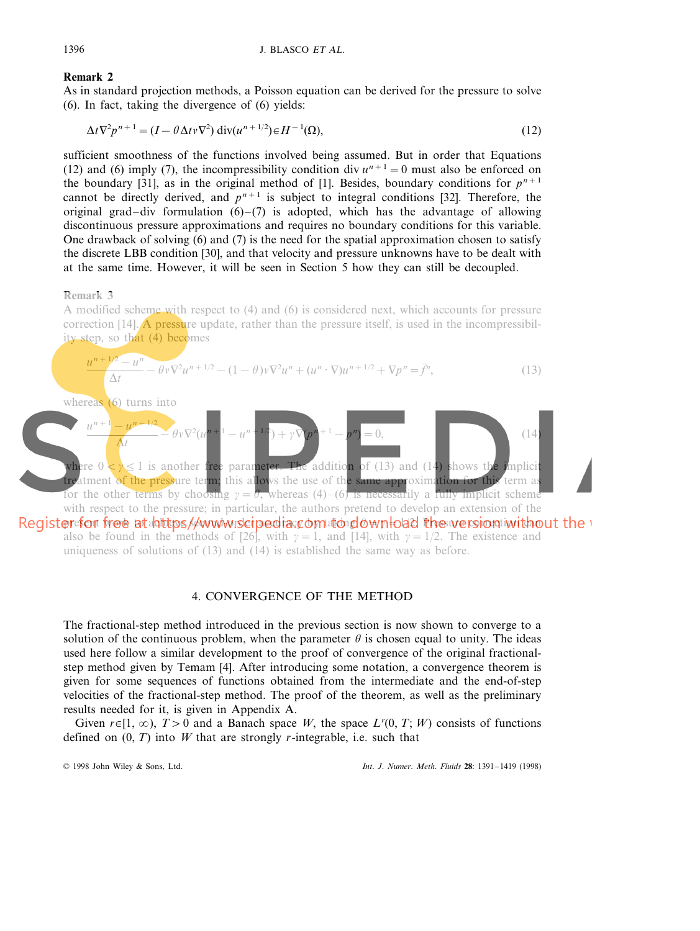# **Remark 2**

As in standard projection methods, a Poisson equation can be derived for the pressure to solve (6). In fact, taking the divergence of (6) yields:

$$
\Delta t \nabla^2 p^{n+1} = (I - \theta \Delta t v \nabla^2) \operatorname{div}(u^{n+1/2}) \in H^{-1}(\Omega),\tag{12}
$$

sufficient smoothness of the functions involved being assumed. But in order that Equations (12) and (6) imply (7), the incompressibility condition div  $u^{n+1} = 0$  must also be enforced on the boundary [31], as in the original method of [1]. Besides, boundary conditions for  $p^{n+1}$ cannot be directly derived, and  $p^{n+1}$  is subject to integral conditions [32]. Therefore, the original grad–div formulation  $(6)$ – $(7)$  is adopted, which has the advantage of allowing discontinuous pressure approximations and requires no boundary conditions for this variable. One drawback of solving (6) and (7) is the need for the spatial approximation chosen to satisfy the discrete LBB condition [30], and that velocity and pressure unknowns have to be dealt with at the same time. However, it will be seen in Section 5 how they can still be decoupled.

#### **Remark 3**

A modified scheme with respect to (4) and (6) is considered next, which accounts for pressure correction  $[14]$ . A pressure update, rather than the pressure itself, is used in the incompressibility step, so that (4) becomes

$$
\frac{u^{n+1/2} - u^n}{\Delta t} - \theta v \nabla^2 u^{n+1/2} - (1 - \theta) v \nabla^2 u^n + (u^n \cdot \nabla) u^{n+1/2} + \nabla p^n = \bar{f}^n,\tag{13}
$$

whereas (6) turns into

$$
u^{n+1} - u^{n+1/2} = \theta v \nabla^2 (u^{n+1} - u^{n+1/2}) + v \nabla p^{n+1} - p^n = 0,
$$
\nwhere  $0 < v \le 1$  is another free parameter. The addition of (13) and (14) shows the implicit  
reduence of the respective term this allows the use of the corresponding time, then as

treatment of the pressure term; this allows the use of the same approximation for this term as for the other terms by choosing  $\gamma = \bar{\sigma}$ , whereas (4)–(6) is necessarily a fully implicit scheme with respect to the pressure; in particular, the authors pretend to develop an extension of the

Register for free at hittps//www.scipedia.com to download the version without the also be found in the methods of [26], with  $y=1$ , and [14], with  $y=1/2$ . The existence and uniqueness of solutions of (13) and (14) is established the same way as before.

#### 4. CONVERGENCE OF THE METHOD

The fractional-step method introduced in the previous section is now shown to converge to a solution of the continuous problem, when the parameter  $\theta$  is chosen equal to unity. The ideas used here follow a similar development to the proof of convergence of the original fractionalstep method given by Temam [4]. After introducing some notation, a convergence theorem is given for some sequences of functions obtained from the intermediate and the end-of-step velocities of the fractional-step method. The proof of the theorem, as well as the preliminary results needed for it, is given in Appendix A.

Given  $r \in [1, \infty)$ ,  $T > 0$  and a Banach space *W*, the space  $L^r(0, T; W)$  consists of functions defined on (0, *T*) into *W* that are strongly *r*-integrable, i.e. such that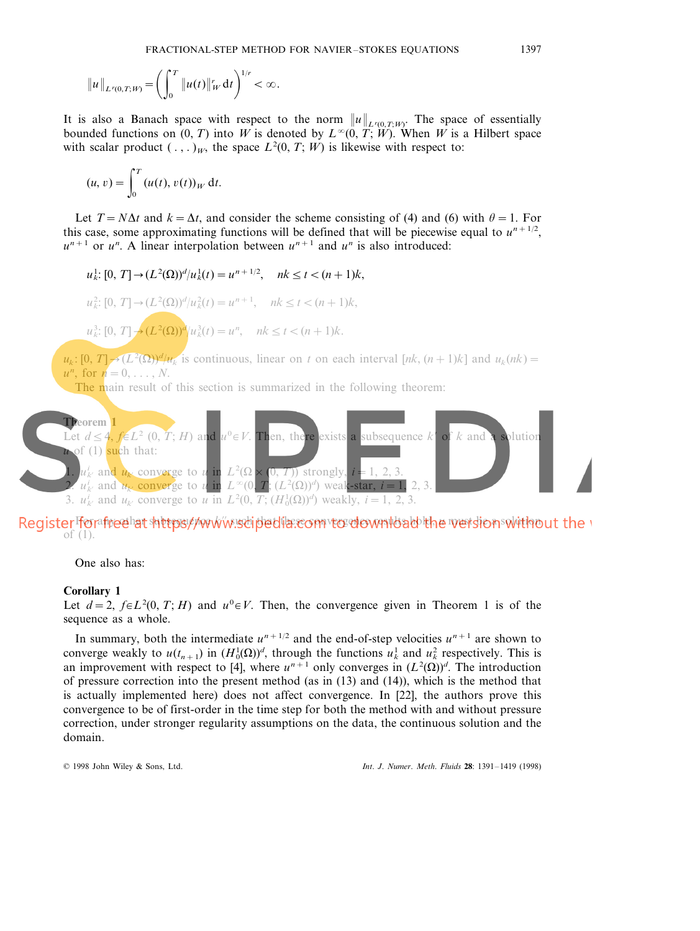$$
||u||_{L^r(0,T;W)} = \left(\int_0^T ||u(t)||_W^r dt\right)^{1/r} < \infty.
$$

It is also a Banach space with respect to the norm  $||u||_{L^r(0,T;W)}$ . The space of essentially bounded functions on  $(0, T)$  into W is denoted by  $L^{\infty}(0, T; W)$ . When W is a Hilbert space with scalar product  $(.,.)_W$ , the space  $L^2(0, T; W)$  is likewise with respect to:

$$
(u, v) = \int_0^T (u(t), v(t))_W \, \mathrm{d}t.
$$

Let  $T = N\Delta t$  and  $k = \Delta t$ , and consider the scheme consisting of (4) and (6) with  $\theta = 1$ . For this case, some approximating functions will be defined that will be piecewise equal to  $u^{n+1/2}$ ,  $u^{n+1}$  or  $u^n$ . A linear interpolation between  $u^{n+1}$  and  $u^n$  is also introduced:

$$
u_k^1: [0, T] \to (L^2(\Omega))^d / u_k^1(t) = u^{n+1/2}, \quad nk \le t < (n+1)k,
$$

$$
u_k^2: [0, T] \to (L^2(\Omega))^d / u_k^2(t) = u^{n+1}, \quad nk \le t < (n+1)k,
$$

 $u_k^3$ :  $[0, T]$   $\rightarrow$   $(L^2(\Omega))^d$  $\vert u_k^3(t) = u^n$ ,  $nk \le t < (n+1)k$ .

 $u_k$ :  $[0, T]$   $\rightarrow$   $(L^2(\Omega))^d$  /*u<sub>k</sub>*</sub> is continuous, linear on *t* on each interval [*nk*,  $(n + 1)k$ ] and  $u_k(nk)$  =  $u^n$ , for  $n = 0, \ldots, N$ .

The main result of this section is summarized in the following theorem:



# For any other subsequence that the subsequence of the second to a solution that the second that the solutions with be a solution swith but the solutions with be a solution swith but the solutions with but a solution switch of (1).

One also has:

#### **Corollary 1**

Let  $d = 2$ ,  $f \in L^2(0, T; H)$  and  $u^0 \in V$ . Then, the convergence given in Theorem 1 is of the sequence as a whole.

In summary, both the intermediate  $u^{n+1/2}$  and the end-of-step velocities  $u^{n+1}$  are shown to converge weakly to  $u(t_{n+1})$  in  $(H_0^1(\Omega))^d$ , through the functions  $u_k^1$  and  $u_k^2$  respectively. This is an improvement with respect to [4], where  $u^{n+1}$  only converges in  $(L^2(\Omega))^d$ . The introduction of pressure correction into the present method (as in (13) and (14)), which is the method that is actually implemented here) does not affect convergence. In [22], the authors prove this convergence to be of first-order in the time step for both the method with and without pressure correction, under stronger regularity assumptions on the data, the continuous solution and the domain.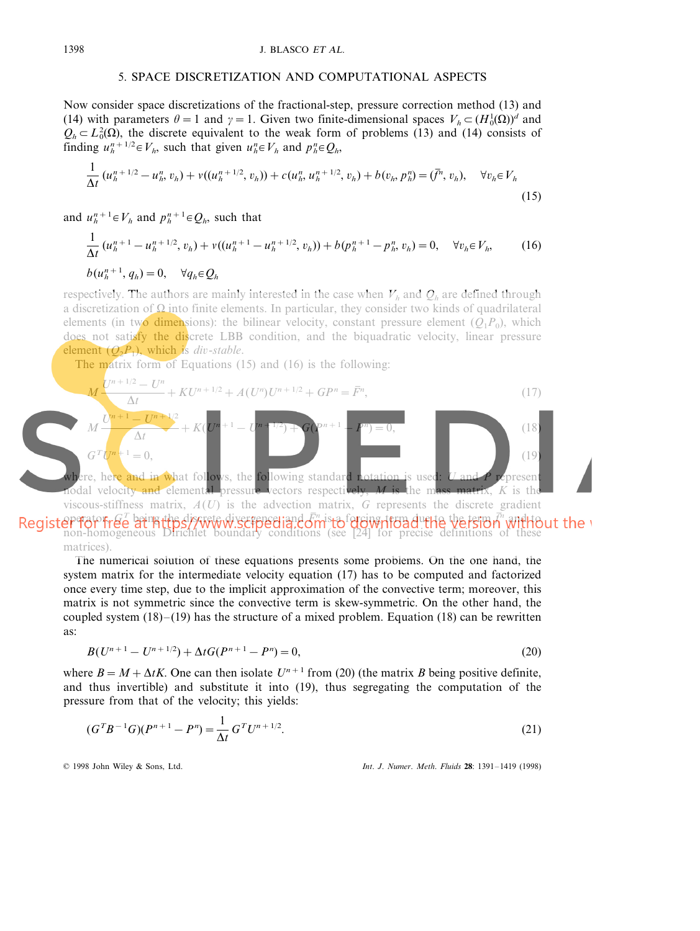#### 5. SPACE DISCRETIZATION AND COMPUTATIONAL ASPECTS

Now consider space discretizations of the fractional-step, pressure correction method (13) and (14) with parameters  $\theta = 1$  and  $\gamma = 1$ . Given two finite-dimensional spaces  $V_h \subset (H_0^1(\Omega))^d$  and  $Q_h \subset L_0^2(\Omega)$ , the discrete equivalent to the weak form of problems (13) and (14) consists of finding  $u_h^{n+1/2} \in V_h$ , such that given  $u_h^n \in V_h$  and  $p_h^n \in Q_h$ ,

$$
\frac{1}{\Delta t} \left( u_h^{n+1/2} - u_h^n, v_h \right) + v \left( (u_h^{n+1/2}, v_h) \right) + c \left( u_h^n, u_h^{n+1/2}, v_h \right) + b \left( v_h, p_h^n \right) = (\bar{f}^n, v_h), \quad \forall v_h \in V_h
$$
\n(15)

and  $u_h^{n+1} \in V_h$  and  $p_h^{n+1} \in Q_h$ , such that

$$
\frac{1}{\Delta t} (u_h^{n+1} - u_h^{n+1/2}, v_h) + v((u_h^{n+1} - u_h^{n+1/2}, v_h)) + b(p_h^{n+1} - p_h^n, v_h) = 0, \quad \forall v_h \in V_h,
$$
\n
$$
(16)
$$
\n
$$
b(u_h^{n+1}, q_h) = 0, \quad \forall q_h \in Q_h
$$

respectively. The authors are mainly interested in the case when  $V_h$  and  $Q_h$  are defined through a discretization of  $\Omega$  into finite elements. In particular, they consider two kinds of quadrilateral elements (in two dimensions): the bilinear velocity, constant pressure element  $(Q_1 P_0)$ , which does not satisfy the discrete LBB condition, and the biquadratic velocity, linear pressure element  $(Q_2 P_1)$ , which is *div-stable*.

The matrix form of Equations (15) and (16) is the following:

$$
M\frac{U^{n+1/2} - U^n}{\Delta t} + KU^{n+1/2} + A(U^n)U^{n+1/2} + GP^n = \overline{F}^n,
$$
\n(17)  
\n
$$
M\frac{U^{n+1} - U^{n+1/2}}{\Delta t} + K(U^{n+1} - U^{n+1/2}) + GO^{n+1} - P^n) = 0,
$$
\n(18)  
\n
$$
G^T U^{n+1} = 0,
$$
\n(19)

where, here and in what follows, the following standard notation is used: nodal velocity and elemental pressure vectors respectively, *M* is the mass matrix, *K* is the viscous-stiffness matrix,  $A(U)$  is the advection matrix,  $G$  represents the discrete gradient

# $\mathbf{p}$ erato $\mathbf{f}_r$   $G^T$  being the discrete divergence, and  $\bar{F}^n$  is a forcing term due to the ferm  $\bar{F}^n$  and to non-homogeneous Dirichlet boundary conditions (see [24] for precise definitions of these matrices).

The numerical solution of these equations presents some problems. On the one hand, the system matrix for the intermediate velocity equation (17) has to be computed and factorized once every time step, due to the implicit approximation of the convective term; moreover, this matrix is not symmetric since the convective term is skew-symmetric. On the other hand, the coupled system (18)–(19) has the structure of a mixed problem. Equation (18) can be rewritten as:

$$
B(U^{n+1} - U^{n+1/2}) + \Delta t G(P^{n+1} - P^n) = 0,
$$
\n(20)

where  $B = M + \Delta t K$ . One can then isolate  $U^{n+1}$  from (20) (the matrix *B* being positive definite, and thus invertible) and substitute it into (19), thus segregating the computation of the pressure from that of the velocity; this yields:

$$
(GTB-1G)(Pn+1 - Pn) = \frac{1}{\Delta t} GTUn+1/2.
$$
\n(21)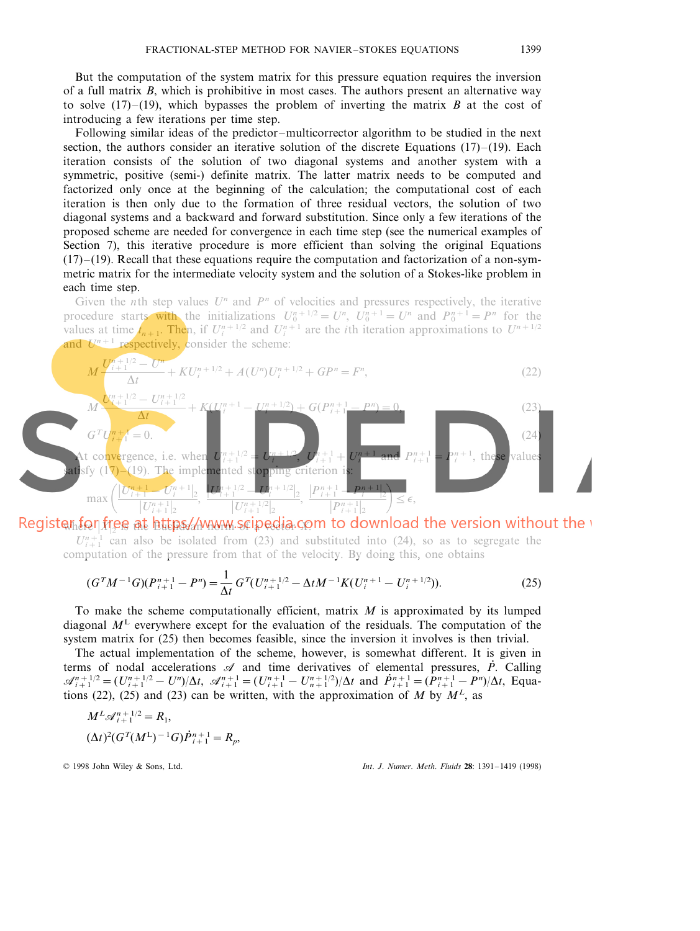But the computation of the system matrix for this pressure equation requires the inversion of a full matrix *B*, which is prohibitive in most cases. The authors present an alternative way to solve (17)–(19), which bypasses the problem of inverting the matrix *B* at the cost of introducing a few iterations per time step.

Following similar ideas of the predictor–multicorrector algorithm to be studied in the next section, the authors consider an iterative solution of the discrete Equations (17)–(19). Each iteration consists of the solution of two diagonal systems and another system with a symmetric, positive (semi-) definite matrix. The latter matrix needs to be computed and factorized only once at the beginning of the calculation; the computational cost of each iteration is then only due to the formation of three residual vectors, the solution of two diagonal systems and a backward and forward substitution. Since only a few iterations of the proposed scheme are needed for convergence in each time step (see the numerical examples of Section 7), this iterative procedure is more efficient than solving the original Equations  $(17)$ – $(19)$ . Recall that these equations require the computation and factorization of a non-symmetric matrix for the intermediate velocity system and the solution of a Stokes-like problem in each time step.

Given the *n*th step values  $U^n$  and  $P^n$  of velocities and pressures respectively, the iterative procedure starts with the initializations  $U_0^{n+1/2} = U^n$ ,  $U_0^{n+1} = U^n$  and  $P_0^{n+1} = P^n$  for the values at time  $t_{n+1}$ . Then, if  $U_i^{n+1/2}$  and  $U_i^{n+1}$  are the *i*th iteration approximations to  $U^{n+1/2}$ and  $U^{n+1}$  respectively, consider the scheme:

$$
M\frac{U_{i+1}^{n+1/2} - U^n}{\Delta t} + KU_i^{n+1/2} + A(U^n)U_i^{n+1/2} + GP^n = F^n,
$$
\n(22)

$$
M \frac{U_{i+1}^{n+1/2} - U_{i+1}^{n+1/2}}{\Delta t} + K(U_i^{n+1} - U_i^{n+1/2}) + G(P_{i+1}^{n+1} - P^n) = 0,
$$
\n
$$
G^T U_{i+1}^{n+1} = 0.
$$
\nAt convergence, i.e. when  $U_{i+1}^{n+1/2} = U_i^{n+1/2}$ ,  $U_{i+1}^{n+1} + U_i^{n+1}$  and  $P_{i+1}^{n+1} = P_i^{n+1}$ , these values satisfy (17)–(19). The implemented stopping criterion is:\n
$$
\max \left( \frac{|U_{i+1}^{n+1} - U_i^{n+1}|}{|U_{i+1}^{n+1}|_2}, \frac{|U_{i+1}^{n+1/2} - U_i^{n+1/2}|}{|U_{i+1}^{n+1/2}|_2}, \frac{|P_{i+1}^{n+1} - P_n^{n+1}|}{|P_{i+1}^{n+1}|_2} \right) \le \epsilon,
$$
\n(24)

an<sub>t</sub>er at the SAMMAN StipeGig Co

 $U_{i+1}^{n+1}$  can also be isolated from (23) and substituted into (24), so as to segregate the computation of the pressure from that of the velocity. By doing this, one obtains

$$
(G^T M^{-1} G)(P_{i+1}^{n+1} - P^n) = \frac{1}{\Delta t} G^T (U_{i+1}^{n+1/2} - \Delta t M^{-1} K (U_i^{n+1} - U_i^{n+1/2})).
$$
\n(25)

To make the scheme computationally efficient, matrix *M* is approximated by its lumped diagonal *M*<sup>L</sup> everywhere except for the evaluation of the residuals. The computation of the system matrix for (25) then becomes feasible, since the inversion it involves is then trivial.

The actual implementation of the scheme, however, is somewhat different. It is given in terms of nodal accelerations  $\mathscr A$  and time derivatives of elemental pressures,  $\dot P$ . Calling  $\mathcal{A}_{i+1}^{n+1/2} = (U_{i+1}^{n+1/2} - U^n)/\Delta t$ ,  $\mathcal{A}_{i+1}^{n+1} = (U_{i+1}^{n+1} - U_{n+1}^{n+1/2})/\Delta t$  and  $\dot{P}_{i+1}^{n+1} = (\dot{P}_{i+1}^{n+1} - \dot{P}_n)/\Delta t$ , Equations (22), (25) and (23) can be written, with the approximation of *M* by  $M<sup>L</sup>$ , as

$$
M^{L}\mathcal{A}_{i+1}^{n+1/2} = R_1,
$$
  

$$
(\Delta t)^2 (G^T (M^L)^{-1} G) \dot{P}_{i+1}^{n+1} = R_p,
$$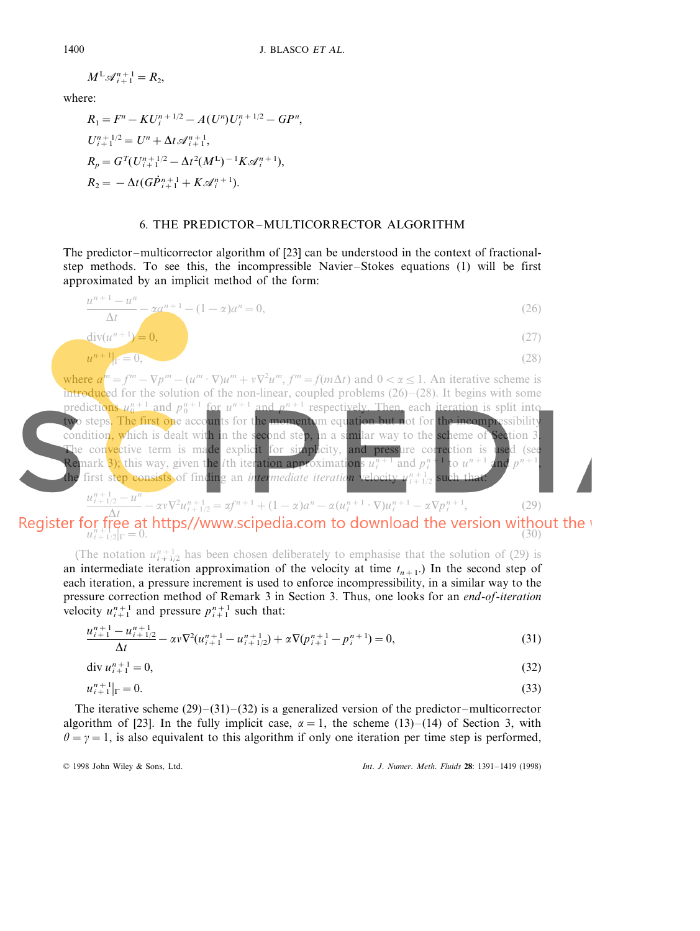$$
M^{\mathsf{L}}\mathscr{A}_{i+1}^{n+1}=R_2,
$$

where:

$$
R_1 = F^n - K U_i^{n+1/2} - A(U^n) U_i^{n+1/2} - GP^n,
$$
  
\n
$$
U_{i+1}^{n+1/2} = U^n + \Delta t \mathcal{A}_{i+1}^{n+1},
$$
  
\n
$$
R_p = G^T (U_{i+1}^{n+1/2} - \Delta t^2 (M^L)^{-1} K \mathcal{A}_i^{n+1}),
$$
  
\n
$$
R_2 = -\Delta t (GP_{i+1}^{n+1} + K \mathcal{A}_i^{n+1}).
$$

#### 6. THE PREDICTOR–MULTICORRECTOR ALGORITHM

The predictor–multicorrector algorithm of [23] can be understood in the context of fractionalstep methods. To see this, the incompressible Navier–Stokes equations (1) will be first approximated by an implicit method of the form:

$$
\frac{u^{n+1} - u^n}{\Delta t} - \alpha a^{n+1} - (1 - \alpha)a^n = 0,
$$
\n(26)

$$
\operatorname{div}(u^{n+1}) = 0,\tag{27}
$$

$$
u^{n+1} \Big|_{\Gamma} = 0,\tag{28}
$$

where  $a^m = f^m - \nabla p^m - (u^m \cdot \nabla)u^m + v^m \nabla^2 u^m$ ,  $f^m = f(m \Delta t)$  and  $0 < \alpha \leq 1$ . An iterative scheme is introduced for the solution of the non-linear, coupled problems  $(26)$ – $(28)$ . It begins with some predictions  $u_0^{n+1}$  and  $p_0^{n+1}$  for  $u^{n+1}$  and  $p^{n+1}$  respectively. Then, each iteration is split into two steps. The first one accounts for the momentum equation but not for the incompressibility condition, which is dealt with in the second step, in a similar way to the scheme of Section 3. The convective term is made explicit for simplicity, and pressure correction is used (see Remark 3); this way, given the *i*th iteration approximations  $u_i^{n+1}$  and  $p_i^{n+1}$  to  $u^{n+1}$  and  $p^{n+1}$ , the first step consists of finding an *intermediate iteration* velocity  $\nu_{i+1/2}^{n+1}$  such that:

$$
\frac{u_{i+1/2}^{n+1} - u^n}{\Delta t} - \alpha v \nabla^2 u_{i+1/2}^{n+1} = \alpha f^{n+1} + (1 - \alpha) a^n - \alpha (u_i^{n+1} \cdot \nabla) u_i^{n+1} - \alpha \nabla p_i^{n+1},
$$
\n(29)

Register for free at https//www.scipedia.com to download the version without the  $u_{i+1/2}^{n+1}$  $\Gamma_{\Gamma} = 0.$  (30)

(The notation  $u_{i+1/2}^{n+1}$  has been chosen deliberately to emphasise that the solution of (29) is an intermediate iteration approximation of the velocity at time  $t_{n+1}$ .) In the second step of each iteration, a pressure increment is used to enforce incompressibility, in a similar way to the pressure correction method of Remark 3 in Section 3. Thus, one looks for an *end*-*of*-*iteration* velocity  $u_{i+1}^{n+1}$  and pressure  $p_{i+1}^{n+1}$  such that:

$$
\frac{u_{i+1}^{n+1} - u_{i+1/2}^{n+1}}{\Delta t} - \alpha \nu \nabla^2 (u_{i+1}^{n+1} - u_{i+1/2}^{n+1}) + \alpha \nabla (p_{i+1}^{n+1} - p_i^{n+1}) = 0,
$$
\n(31)

$$
\operatorname{div} u_{i+1}^{n+1} = 0,\tag{32}
$$

$$
u_{i+1}^{n+1}|_{\Gamma} = 0.\t\t(33)
$$

The iterative scheme  $(29)$ – $(31)$ – $(32)$  is a generalized version of the predictor–multicorrector algorithm of [23]. In the fully implicit case,  $\alpha = 1$ , the scheme (13)–(14) of Section 3, with  $\theta = \gamma = 1$ , is also equivalent to this algorithm if only one iteration per time step is performed,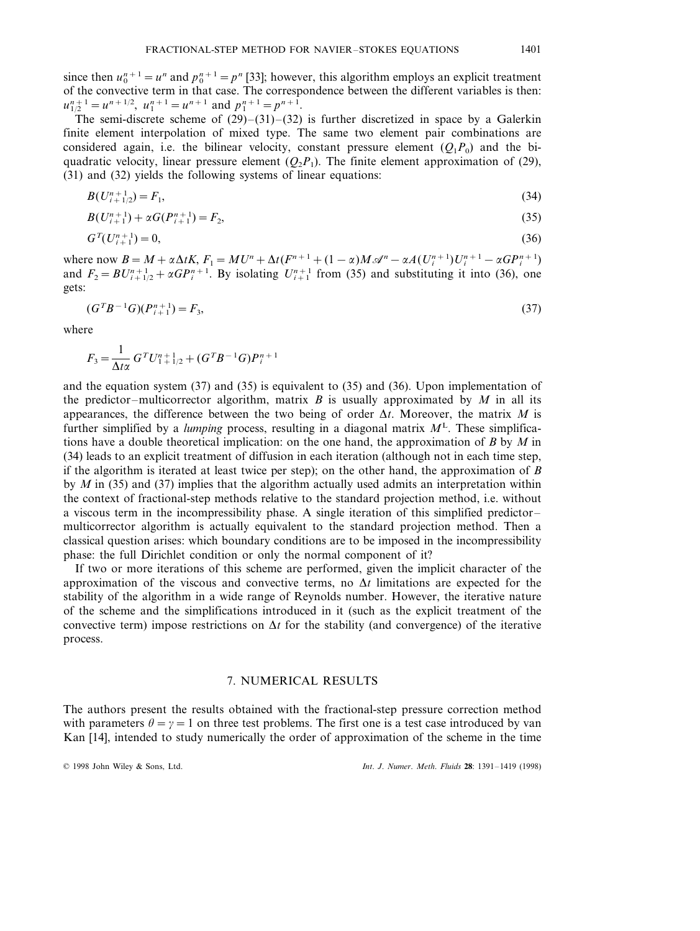since then  $u_0^{n+1} = u^n$  and  $p_0^{n+1} = p^n$  [33]; however, this algorithm employs an explicit treatment of the convective term in that case. The correspondence between the different variables is then:  $u_{1/2}^{n+1} = u^{n+1/2}, u_1^{n+1} = u^{n+1}$  and  $p_1^{n+1} = p^{n+1}$ .

The semi-discrete scheme of  $(29)$ – $(31)$ – $(32)$  is further discretized in space by a Galerkin finite element interpolation of mixed type. The same two element pair combinations are considered again, i.e. the bilinear velocity, constant pressure element  $(Q_1 P_0)$  and the biquadratic velocity, linear pressure element  $(Q_2P_1)$ . The finite element approximation of (29), (31) and (32) yields the following systems of linear equations:

$$
B(U_{i+1/2}^{n+1}) = F_1,\tag{34}
$$

$$
B(U_{i+1}^{n+1}) + \alpha G(P_{i+1}^{n+1}) = F_2,\tag{35}
$$

$$
G^{T}(U_{i+1}^{n+1}) = 0, \tag{36}
$$

where now  $B = M + \alpha \Delta t K$ ,  $F_1 = M U^n + \Delta t (F^{n+1} + (1 - \alpha) M \mathcal{A}^n - \alpha A (U_i^{n+1}) U_i^{n+1} - \alpha G P_i^{n+1})$ and  $F_2 = BU_{i+1/2}^{n+1} + \alpha GP_i^{n+1}$ . By isolating  $U_{i+1}^{n+1}$  from (35) and substituting it into (36), one gets:

$$
(GTB-1G)(Pi+1n+1) = F3,
$$
\n(37)

where

$$
F_3 = \frac{1}{\Delta t \alpha} G^T U_{1+1/2}^{n+1} + (G^T B^{-1} G) P_i^{n+1}
$$

and the equation system  $(37)$  and  $(35)$  is equivalent to  $(35)$  and  $(36)$ . Upon implementation of the predictor–multicorrector algorithm, matrix  $B$  is usually approximated by  $M$  in all its appearances, the difference between the two being of order  $\Delta t$ . Moreover, the matrix M is further simplified by a *lumping* process, resulting in a diagonal matrix  $M<sup>L</sup>$ . These simplifications have a double theoretical implication: on the one hand, the approximation of *B* by *M* in (34) leads to an explicit treatment of diffusion in each iteration (although not in each time step, if the algorithm is iterated at least twice per step); on the other hand, the approximation of *B* by *M* in (35) and (37) implies that the algorithm actually used admits an interpretation within the context of fractional-step methods relative to the standard projection method, i.e. without a viscous term in the incompressibility phase. A single iteration of this simplified predictor– multicorrector algorithm is actually equivalent to the standard projection method. Then a classical question arises: which boundary conditions are to be imposed in the incompressibility phase: the full Dirichlet condition or only the normal component of it?

If two or more iterations of this scheme are performed, given the implicit character of the approximation of the viscous and convective terms, no  $\Delta t$  limitations are expected for the stability of the algorithm in a wide range of Reynolds number. However, the iterative nature of the scheme and the simplifications introduced in it (such as the explicit treatment of the convective term) impose restrictions on  $\Delta t$  for the stability (and convergence) of the iterative process.

#### 7. NUMERICAL RESULTS

The authors present the results obtained with the fractional-step pressure correction method with parameters  $\theta = \gamma = 1$  on three test problems. The first one is a test case introduced by van Kan [14], intended to study numerically the order of approximation of the scheme in the time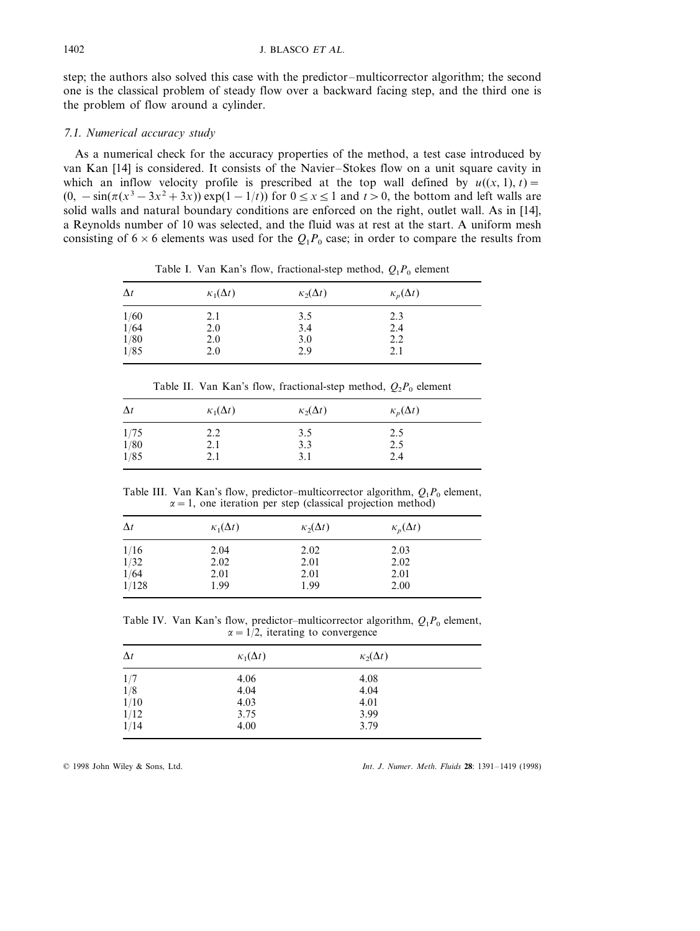step; the authors also solved this case with the predictor–multicorrector algorithm; the second one is the classical problem of steady flow over a backward facing step, and the third one is the problem of flow around a cylinder.

#### 7.1. *Numerical accuracy study*

As a numerical check for the accuracy properties of the method, a test case introduced by van Kan [14] is considered. It consists of the Navier–Stokes flow on a unit square cavity in which an inflow velocity profile is prescribed at the top wall defined by  $u((x, 1), t) =$  $(0, -\sin(\pi(x^3 - 3x^2 + 3x)) \exp(1 - 1/t))$  for  $0 \le x \le 1$  and  $t > 0$ , the bottom and left walls are solid walls and natural boundary conditions are enforced on the right, outlet wall. As in [14], a Reynolds number of 10 was selected, and the fluid was at rest at the start. A uniform mesh consisting of  $6 \times 6$  elements was used for the  $Q_1P_0$  case; in order to compare the results from

 $\kappa_2(\Delta t)$  $\Delta t$   $\kappa_1(\Delta t)$   $\kappa_2(\Delta t)$   $\kappa_p(\Delta t)$  $\kappa_1(\Delta t)$  $1/60$  2.1 3.5 2.3  $1/64$  2.0 3.4 2.4  $1/80$  2.0 3.0 2.2 1/85 2.0 2.9 2.1

Table I. Van Kan's flow, fractional-step method,  $Q_1P_0$  element

| $\Delta t$          | $\kappa_1(\Delta t)$ | $\kappa_2(\Delta t)$ | $\kappa_p(\Delta t)$ |  |
|---------------------|----------------------|----------------------|----------------------|--|
| 1/75                | 2.2                  | 3.5                  | 2.5                  |  |
|                     | 2.1                  | 3.3                  | 2.5                  |  |
| $\frac{1/80}{1/85}$ | 2.1                  | 3.1                  | 2.4                  |  |

Table II. Van Kan's flow, fractional-step method,  $Q_2P_0$  element

Table III. Van Kan's flow, predictor–multicorrector algorithm,  $Q_1P_0$  element,  $\alpha=1$ , one iteration per step (classical projection method)

| $\Delta t$ | $\kappa_1(\Delta t)$ | $\kappa_2(\Delta t)$ | $\kappa_p(\Delta t)$ |
|------------|----------------------|----------------------|----------------------|
| 1/16       | 2.04                 | 2.02                 | 2.03                 |
| 1/32       | 2.02                 | 2.01                 | 2.02                 |
| 1/64       | 2.01                 | 2.01                 | 2.01                 |
| 1/128      | 1.99                 | 1.99                 | 2.00                 |

Table IV. Van Kan's flow, predictor–multicorrector algorithm,  $Q_1P_0$  element,  $\alpha=1/2$ , iterating to convergence

| $\Delta t$ | $\kappa_1(\Delta t)$ | $\kappa_2(\Delta t)$ |  |
|------------|----------------------|----------------------|--|
| 1/7        | 4.06                 | 4.08                 |  |
| 1/8        | 4.04                 | 4.04                 |  |
| 1/10       | 4.03                 | 4.01                 |  |
| 1/12       | 3.75                 | 3.99                 |  |
| 1/14       | 4.00                 | 3.79                 |  |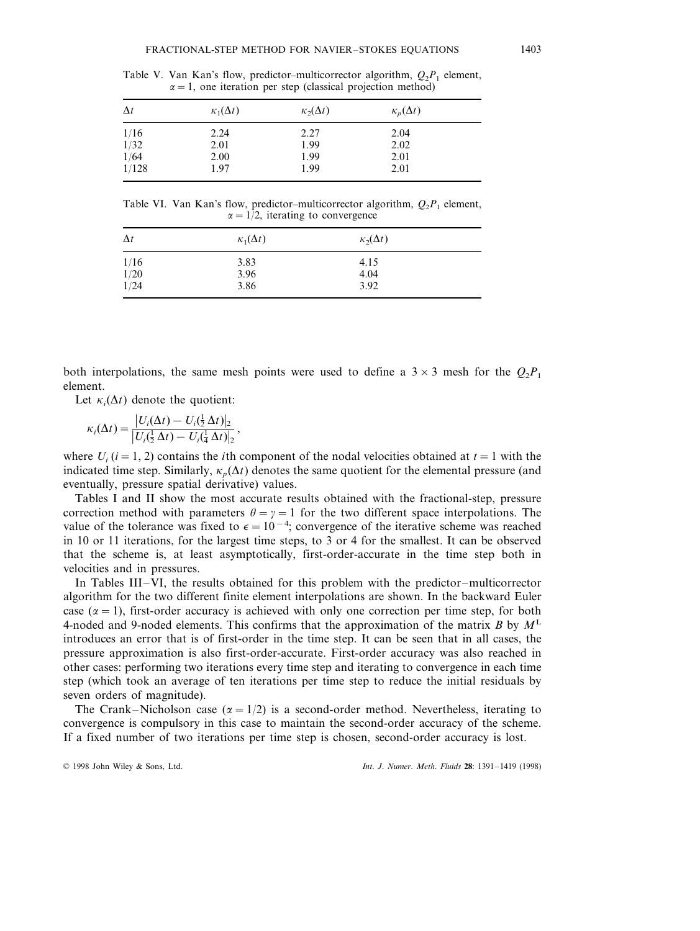| $\Delta t$   | $\kappa_1(\Delta t)$ | $\kappa_2(\Delta t)$ | $\kappa_p(\Delta t)$ |  |
|--------------|----------------------|----------------------|----------------------|--|
| 1/16         | 2.24                 | 2.27                 | 2.04                 |  |
| 1/32<br>1/64 | 2.01<br>2.00         | 1.99<br>1.99         | 2.02<br>2.01         |  |
| 1/128        | 1.97                 | 1.99                 | 2.01                 |  |

Table V. Van Kan's flow, predictor–multicorrector algorithm,  $Q_2P_1$  element,  $\alpha=1$ , one iteration per step (classical projection method)

Table VI. Van Kan's flow, predictor–multicorrector algorithm,  $Q_2P_1$  element,  $\alpha=1/2$ , iterating to convergence

| $\Delta t$                            | $\kappa_1(\Delta t)$ | $\kappa_2(\Delta t)$ |  |
|---------------------------------------|----------------------|----------------------|--|
| $\frac{1/16}{1/20}$<br>$\frac{1}{24}$ | 3.83<br>3.96<br>3.86 | 4.15<br>4.04<br>3.92 |  |

both interpolations, the same mesh points were used to define a  $3 \times 3$  mesh for the  $Q_2P_1$ element.

Let  $\kappa_i(\Delta t)$  denote the quotient:

$$
\kappa_i(\Delta t) = \frac{\left|U_i(\Delta t) - U_i(\frac{1}{2}\Delta t)\right|_2}{\left|U_i(\frac{1}{2}\Delta t) - U_i(\frac{1}{4}\Delta t)\right|_2},
$$

where  $U_i$  ( $i = 1, 2$ ) contains the *i*th component of the nodal velocities obtained at  $t = 1$  with the indicated time step. Similarly,  $\kappa_p(\Delta t)$  denotes the same quotient for the elemental pressure (and eventually, pressure spatial derivative) values.

Tables I and II show the most accurate results obtained with the fractional-step, pressure correction method with parameters  $\theta = y = 1$  for the two different space interpolations. The value of the tolerance was fixed to  $\epsilon = 10^{-4}$ ; convergence of the iterative scheme was reached in 10 or 11 iterations, for the largest time steps, to 3 or 4 for the smallest. It can be observed that the scheme is, at least asymptotically, first-order-accurate in the time step both in velocities and in pressures.

In Tables III–VI, the results obtained for this problem with the predictor–multicorrector algorithm for the two different finite element interpolations are shown. In the backward Euler case  $(\alpha = 1)$ , first-order accuracy is achieved with only one correction per time step, for both 4-noded and 9-noded elements. This confirms that the approximation of the matrix *B* by *M*<sup>L</sup> introduces an error that is of first-order in the time step. It can be seen that in all cases, the pressure approximation is also first-order-accurate. First-order accuracy was also reached in other cases: performing two iterations every time step and iterating to convergence in each time step (which took an average of ten iterations per time step to reduce the initial residuals by seven orders of magnitude).

The Crank–Nicholson case ( $\alpha = 1/2$ ) is a second-order method. Nevertheless, iterating to convergence is compulsory in this case to maintain the second-order accuracy of the scheme. If a fixed number of two iterations per time step is chosen, second-order accuracy is lost.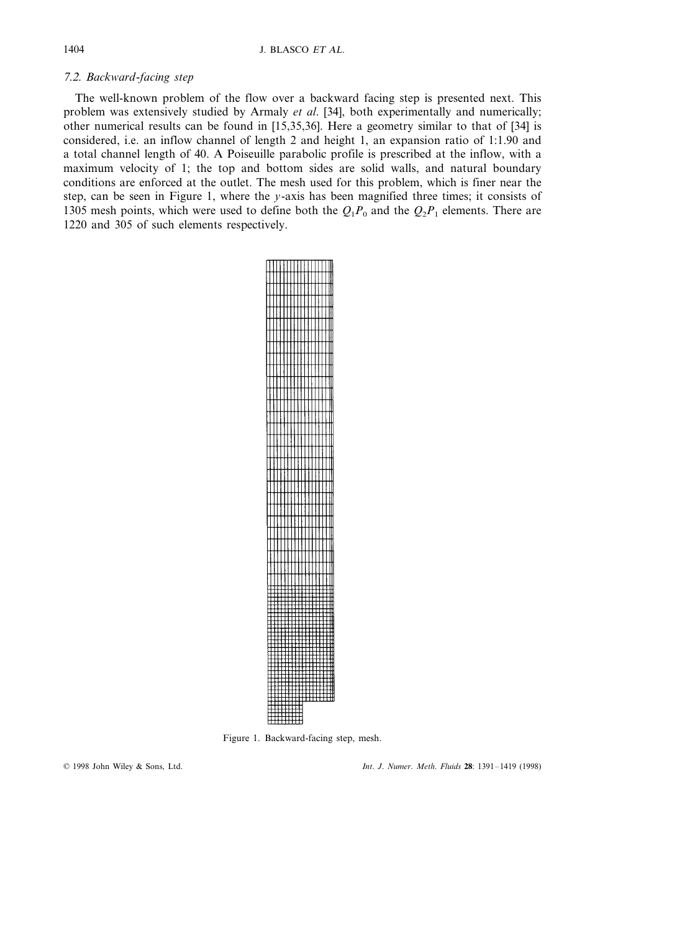#### 7.2. *Backward*-*facing step*

The well-known problem of the flow over a backward facing step is presented next. This problem was extensively studied by Armaly *et al*. [34], both experimentally and numerically; other numerical results can be found in [15,35,36]. Here a geometry similar to that of [34] is considered, i.e. an inflow channel of length 2 and height 1, an expansion ratio of 1:1.90 and a total channel length of 40. A Poiseuille parabolic profile is prescribed at the inflow, with a maximum velocity of 1; the top and bottom sides are solid walls, and natural boundary conditions are enforced at the outlet. The mesh used for this problem, which is finer near the step, can be seen in Figure 1, where the *y*-axis has been magnified three times; it consists of 1305 mesh points, which were used to define both the  $Q_1P_0$  and the  $Q_2P_1$  elements. There are 1220 and 305 of such elements respectively.



Figure 1. Backward-facing step, mesh.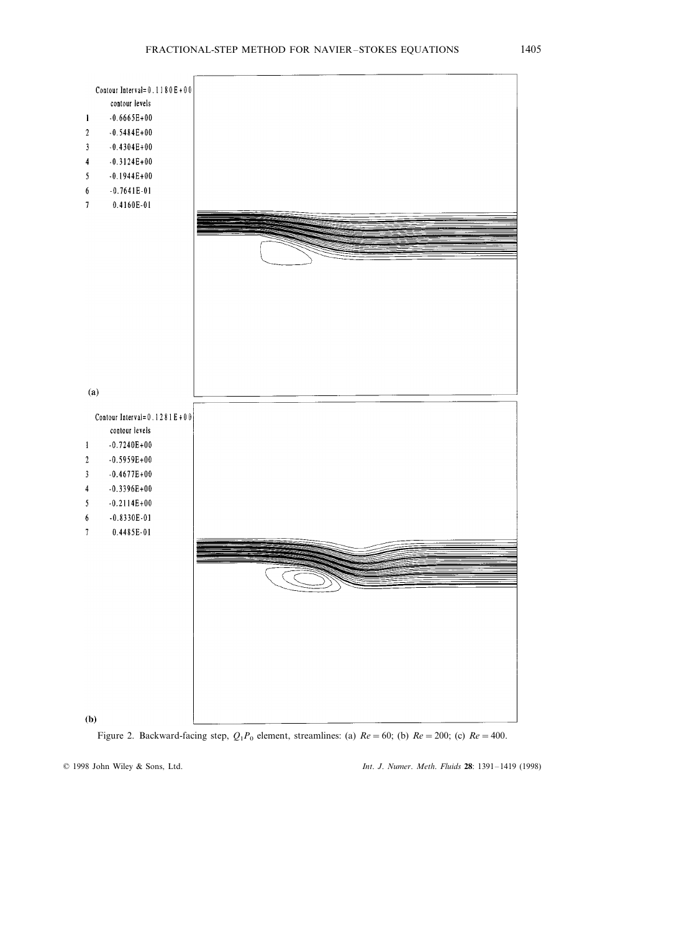



Figure 2. Backward-facing step,  $Q_1 P_0$  element, streamlines: (a)  $Re = 60$ ; (b)  $Re = 200$ ; (c)  $Re = 400$ .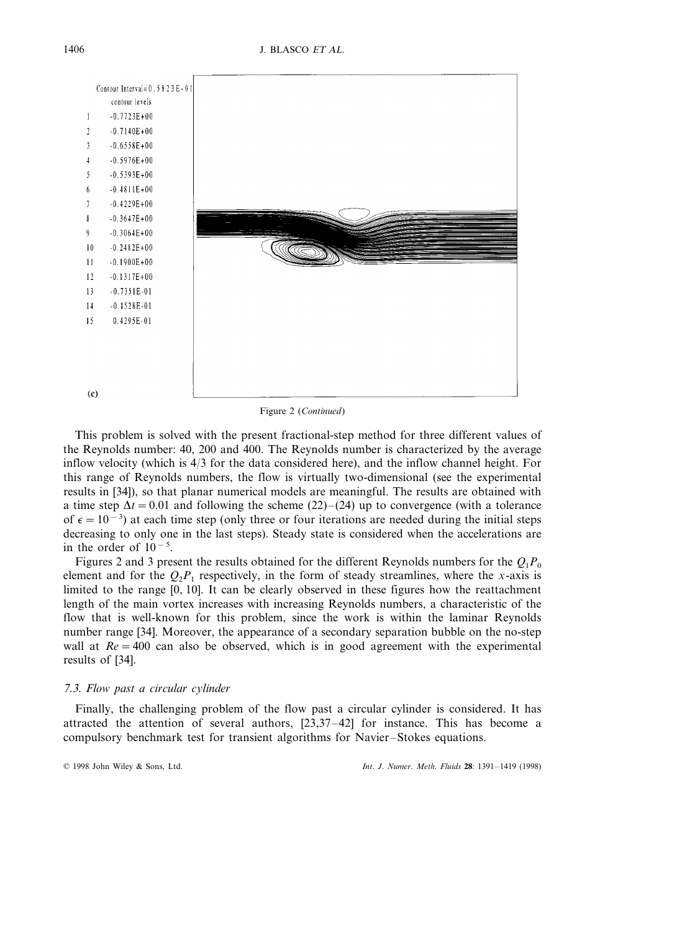

Figure 2 (*Continued*)

This problem is solved with the present fractional-step method for three different values of the Reynolds number: 40, 200 and 400. The Reynolds number is characterized by the average inflow velocity (which is 4/3 for the data considered here), and the inflow channel height. For this range of Reynolds numbers, the flow is virtually two-dimensional (see the experimental results in [34]), so that planar numerical models are meaningful. The results are obtained with a time step  $\Delta t = 0.01$  and following the scheme (22)–(24) up to convergence (with a tolerance of  $\epsilon = 10^{-3}$ ) at each time step (only three or four iterations are needed during the initial steps decreasing to only one in the last steps). Steady state is considered when the accelerations are in the order of 10<sup>−</sup><sup>5</sup> .

Figures 2 and 3 present the results obtained for the different Reynolds numbers for the  $O_1P_0$ element and for the  $Q_2P_1$  respectively, in the form of steady streamlines, where the *x*-axis is limited to the range [0, 10]. It can be clearly observed in these figures how the reattachment length of the main vortex increases with increasing Reynolds numbers, a characteristic of the flow that is well-known for this problem, since the work is within the laminar Reynolds number range [34]. Moreover, the appearance of a secondary separation bubble on the no-step wall at  $Re = 400$  can also be observed, which is in good agreement with the experimental results of [34].

#### 7.3. *Flow past a circular cylinder*

Finally, the challenging problem of the flow past a circular cylinder is considered. It has attracted the attention of several authors, [23,37–42] for instance. This has become a compulsory benchmark test for transient algorithms for Navier–Stokes equations.

 $\overline{1}$  $\rightarrow$ 

 $\overline{3}$ 

 $\overline{4}$ 

 $\overline{5}$ 

6  $\overline{7}$ 

 $\mathbf{g}$ 

 $\mathbf{Q}$ 

 $10$ 

 $\overline{11}$  $\overline{1}$ 

 $13$  $14$ 

 $15$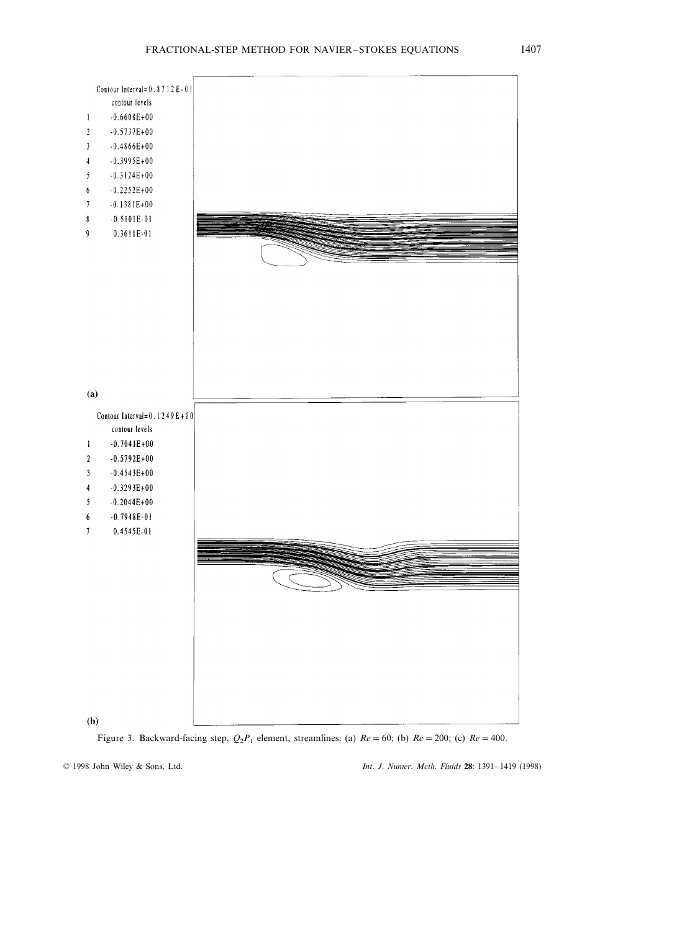

Figure 3. Backward-facing step,  $Q_2P_1$  element, streamlines: (a)  $Re = 60$ ; (b)  $Re = 200$ ; (c)  $Re = 400$ .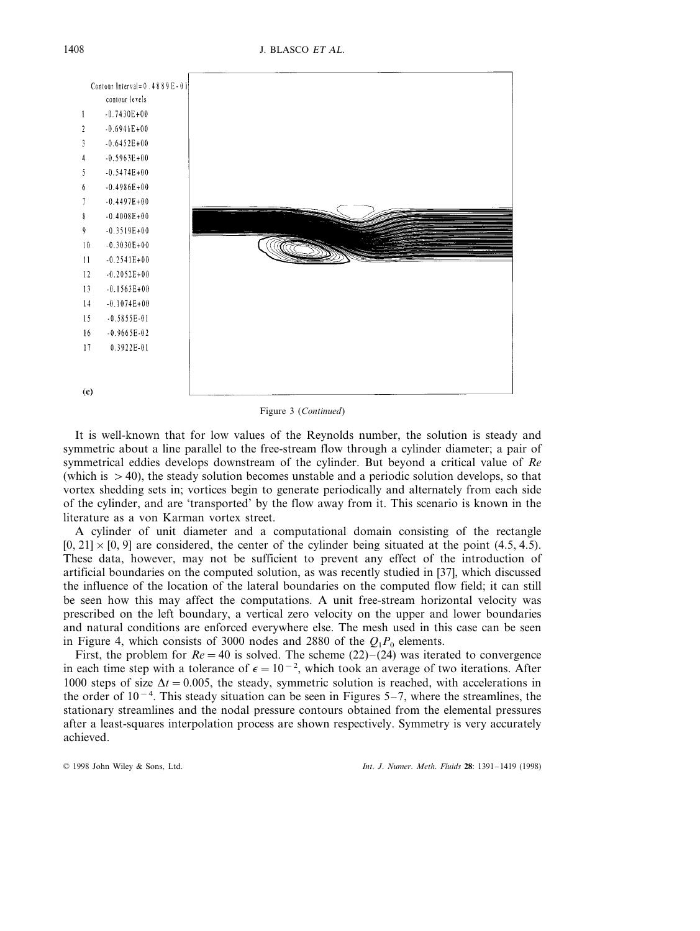

Figure 3 (*Continued*)

It is well-known that for low values of the Reynolds number, the solution is steady and symmetric about a line parallel to the free-stream flow through a cylinder diameter; a pair of symmetrical eddies develops downstream of the cylinder. But beyond a critical value of *Re* (which is  $>40$ ), the steady solution becomes unstable and a periodic solution develops, so that vortex shedding sets in; vortices begin to generate periodically and alternately from each side of the cylinder, and are 'transported' by the flow away from it. This scenario is known in the literature as a von Karman vortex street.

A cylinder of unit diameter and a computational domain consisting of the rectangle  $[0, 21] \times [0, 9]$  are considered, the center of the cylinder being situated at the point (4.5, 4.5). These data, however, may not be sufficient to prevent any effect of the introduction of artificial boundaries on the computed solution, as was recently studied in [37], which discussed the influence of the location of the lateral boundaries on the computed flow field; it can still be seen how this may affect the computations. A unit free-stream horizontal velocity was prescribed on the left boundary, a vertical zero velocity on the upper and lower boundaries and natural conditions are enforced everywhere else. The mesh used in this case can be seen in Figure 4, which consists of 3000 nodes and 2880 of the  $Q_1P_0$  elements.

First, the problem for  $Re = 40$  is solved. The scheme  $(22)$ – $(24)$  was iterated to convergence in each time step with a tolerance of  $\epsilon = 10^{-2}$ , which took an average of two iterations. After 1000 steps of size  $\Delta t = 0.005$ , the steady, symmetric solution is reached, with accelerations in the order of 10−<sup>4</sup> . This steady situation can be seen in Figures 5–7, where the streamlines, the stationary streamlines and the nodal pressure contours obtained from the elemental pressures after a least-squares interpolation process are shown respectively. Symmetry is very accurately achieved.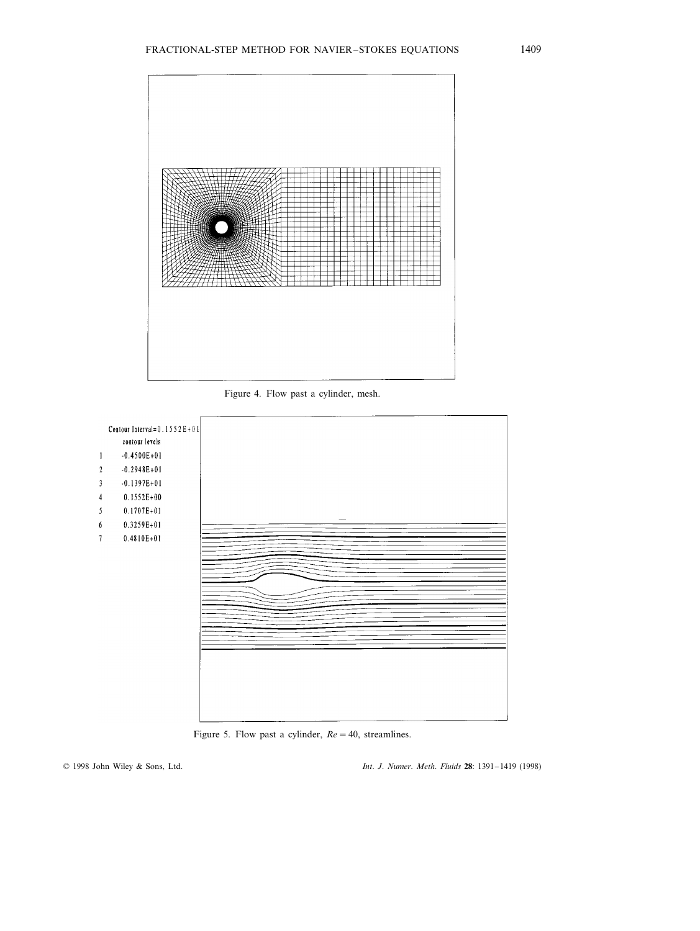

Figure 4. Flow past a cylinder, mesh.



Figure 5. Flow past a cylinder, *Re*=40, streamlines.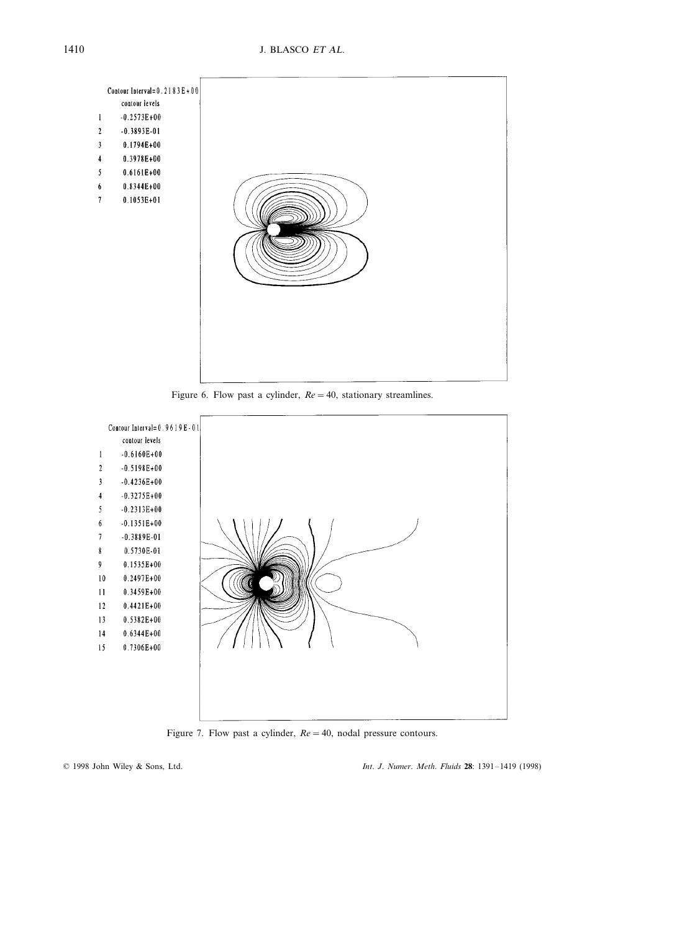

Figure 6. Flow past a cylinder,  $Re = 40$ , stationary streamlines.



Figure 7. Flow past a cylinder,  $Re = 40$ , nodal pressure contours.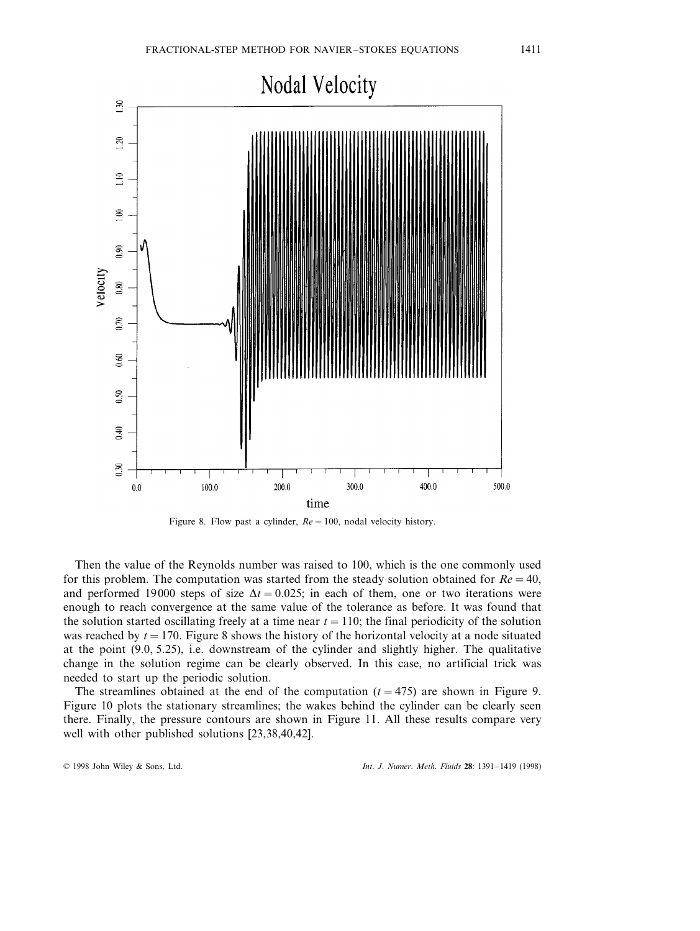

Figure 8. Flow past a cylinder,  $Re = 100$ , nodal velocity history.

Then the value of the Reynolds number was raised to 100, which is the one commonly used for this problem. The computation was started from the steady solution obtained for  $Re = 40$ , and performed 19000 steps of size  $\Delta t = 0.025$ ; in each of them, one or two iterations were enough to reach convergence at the same value of the tolerance as before. It was found that the solution started oscillating freely at a time near  $t=110$ ; the final periodicity of the solution was reached by  $t = 170$ . Figure 8 shows the history of the horizontal velocity at a node situated at the point (9.0, 5.25), i.e. downstream of the cylinder and slightly higher. The qualitative change in the solution regime can be clearly observed. In this case, no artificial trick was needed to start up the periodic solution.

The streamlines obtained at the end of the computation  $(t = 475)$  are shown in Figure 9. Figure 10 plots the stationary streamlines; the wakes behind the cylinder can be clearly seen there. Finally, the pressure contours are shown in Figure 11. All these results compare very well with other published solutions [23,38,40,42].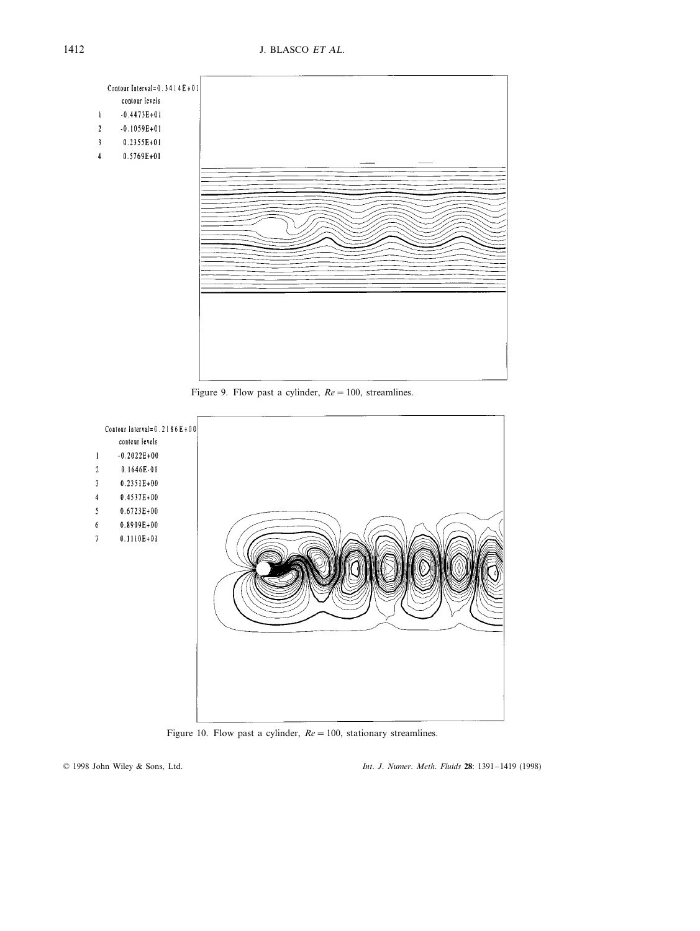

Figure 9. Flow past a cylinder,  $Re = 100$ , streamlines.



Figure 10. Flow past a cylinder,  $Re = 100$ , stationary streamlines.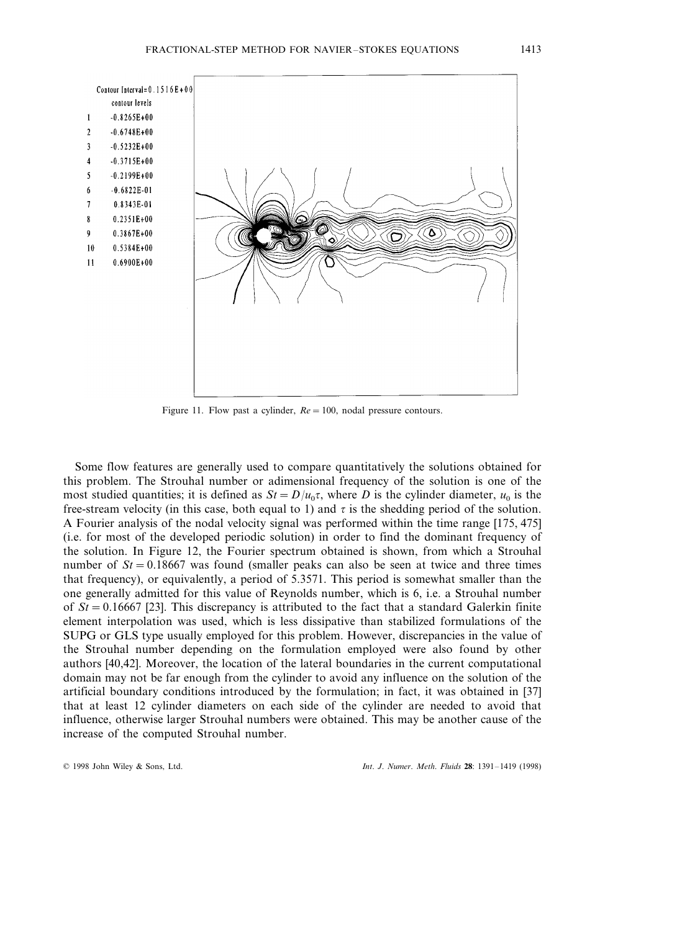

Figure 11. Flow past a cylinder,  $Re = 100$ , nodal pressure contours.

Some flow features are generally used to compare quantitatively the solutions obtained for this problem. The Strouhal number or adimensional frequency of the solution is one of the most studied quantities; it is defined as  $St = D/u_0\tau$ , where *D* is the cylinder diameter,  $u_0$  is the free-stream velocity (in this case, both equal to 1) and  $\tau$  is the shedding period of the solution. A Fourier analysis of the nodal velocity signal was performed within the time range [175, 475] (i.e. for most of the developed periodic solution) in order to find the dominant frequency of the solution. In Figure 12, the Fourier spectrum obtained is shown, from which a Strouhal number of  $St = 0.18667$  was found (smaller peaks can also be seen at twice and three times that frequency), or equivalently, a period of 5.3571. This period is somewhat smaller than the one generally admitted for this value of Reynolds number, which is 6, i.e. a Strouhal number of  $St = 0.16667$  [23]. This discrepancy is attributed to the fact that a standard Galerkin finite element interpolation was used, which is less dissipative than stabilized formulations of the SUPG or GLS type usually employed for this problem. However, discrepancies in the value of the Strouhal number depending on the formulation employed were also found by other authors [40,42]. Moreover, the location of the lateral boundaries in the current computational domain may not be far enough from the cylinder to avoid any influence on the solution of the artificial boundary conditions introduced by the formulation; in fact, it was obtained in [37] that at least 12 cylinder diameters on each side of the cylinder are needed to avoid that influence, otherwise larger Strouhal numbers were obtained. This may be another cause of the increase of the computed Strouhal number.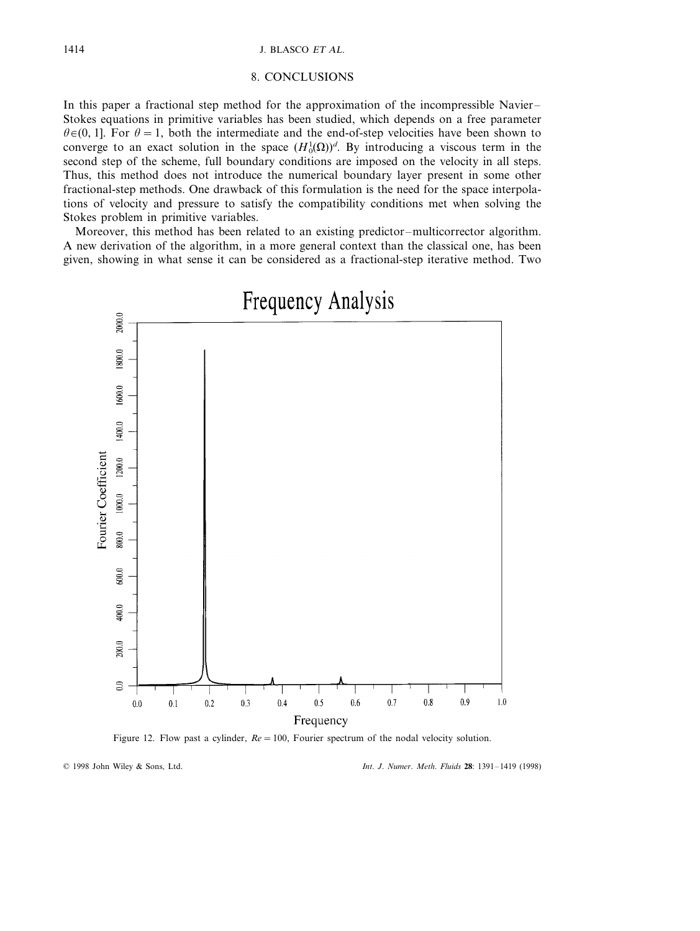#### 1414 J. BLASCO ET AL.

#### 8. CONCLUSIONS

In this paper a fractional step method for the approximation of the incompressible Navier– Stokes equations in primitive variables has been studied, which depends on a free parameter  $\theta \in (0, 1]$ . For  $\theta = 1$ , both the intermediate and the end-of-step velocities have been shown to converge to an exact solution in the space  $(H_0^1(\Omega))^d$ . By introducing a viscous term in the second step of the scheme, full boundary conditions are imposed on the velocity in all steps. Thus, this method does not introduce the numerical boundary layer present in some other fractional-step methods. One drawback of this formulation is the need for the space interpolations of velocity and pressure to satisfy the compatibility conditions met when solving the Stokes problem in primitive variables.

Moreover, this method has been related to an existing predictor–multicorrector algorithm. A new derivation of the algorithm, in a more general context than the classical one, has been given, showing in what sense it can be considered as a fractional-step iterative method. Two



Figure 12. Flow past a cylinder,  $Re = 100$ , Fourier spectrum of the nodal velocity solution.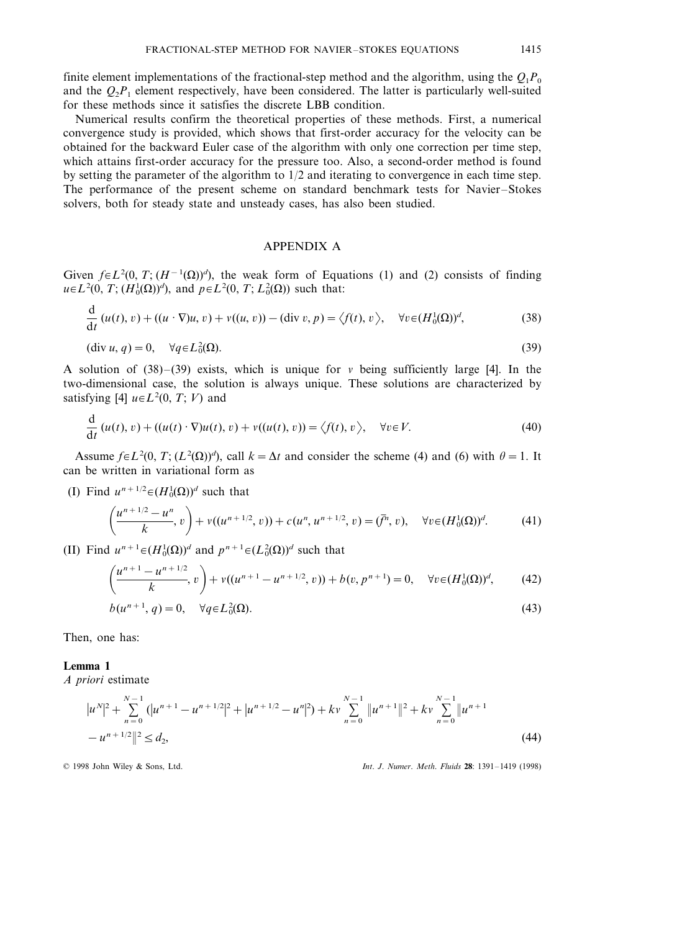finite element implementations of the fractional-step method and the algorithm, using the  $O_1P_0$ and the  $Q_2P_1$  element respectively, have been considered. The latter is particularly well-suited for these methods since it satisfies the discrete LBB condition.

Numerical results confirm the theoretical properties of these methods. First, a numerical convergence study is provided, which shows that first-order accuracy for the velocity can be obtained for the backward Euler case of the algorithm with only one correction per time step, which attains first-order accuracy for the pressure too. Also, a second-order method is found by setting the parameter of the algorithm to 1/2 and iterating to convergence in each time step. The performance of the present scheme on standard benchmark tests for Navier–Stokes solvers, both for steady state and unsteady cases, has also been studied.

#### APPENDIX A

Given  $f \in L^2(0, T; (H^{-1}(\Omega))^d)$ , the weak form of Equations (1) and (2) consists of finding  $u \in L^2(0, T; (H_0^1(\Omega))^d)$ , and  $p \in L^2(0, T; L_0^2(\Omega))$  such that:

$$
\frac{d}{dt} (u(t), v) + ((u \cdot \nabla)u, v) + v((u, v)) - (\text{div } v, p) = \langle f(t), v \rangle, \quad \forall v \in (H_0^1(\Omega))^d,
$$
\n(38)

$$
(\text{div } u, q) = 0, \quad \forall q \in L_0^2(\Omega). \tag{39}
$$

A solution of  $(38)$ – $(39)$  exists, which is unique for v being sufficiently large [4]. In the two-dimensional case, the solution is always unique. These solutions are characterized by satisfying [4]  $u \in L^2(0, T; V)$  and

$$
\frac{d}{dt} (u(t), v) + ((u(t) \cdot \nabla)u(t), v) + v((u(t), v)) = \langle f(t), v \rangle, \quad \forall v \in V.
$$
\n(40)

Assume  $f \in L^2(0, T; (L^2(\Omega))^d)$ , call  $k = \Delta t$  and consider the scheme (4) and (6) with  $\theta = 1$ . It can be written in variational form as

(I) Find  $u^{n+1/2} \in (H_0^1(\Omega))^d$  such that

$$
\left(\frac{u^{n+1/2}-u^n}{k},v\right)+v((u^{n+1/2},v))+c(u^n,u^{n+1/2},v)=({\bar{f}}^n,v),\quad\forall v\in (H_0^1(\Omega))^d.
$$
 (41)

(II) Find  $u^{n+1} \in (H_0^1(\Omega))^d$  and  $p^{n+1} \in (L_0^2(\Omega))^d$  such that

$$
\left(\frac{u^{n+1}-u^{n+1/2}}{k},v\right)+v((u^{n+1}-u^{n+1/2},v))+b(v,p^{n+1})=0,\quad\forall v\in (H_0^1(\Omega))^d,\tag{42}
$$

$$
b(u^{n+1}, q) = 0, \quad \forall q \in L_0^2(\Omega).
$$
 (43)

Then, one has:

**Lemma 1**

*A priori* estimate

$$
|u^N|^2 + \sum_{n=0}^{N-1} (|u^{n+1} - u^{n+1/2}|^2 + |u^{n+1/2} - u^n|^2) + kv \sum_{n=0}^{N-1} ||u^{n+1}||^2 + kv \sum_{n=0}^{N-1} ||u^{n+1}||^2
$$
  

$$
- u^{n+1/2}||^2 \le d_2,
$$
 (44)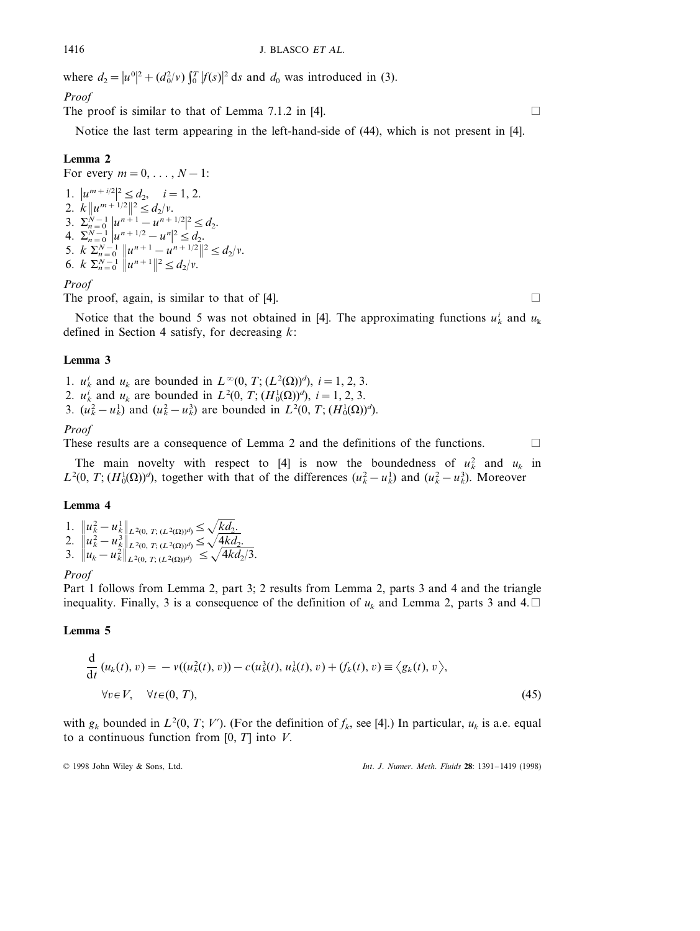where  $d_2 = |u^0|^2 + (d_0^2/v) \int_0^T |f(s)|^2 ds$  and  $d_0$  was introduced in (3).

## *Proof*

The proof is similar to that of Lemma 7.1.2 in [4].  $\Box$ 

Notice the last term appearing in the left-hand-side of (44), which is not present in [4].

## **Lemma 2**

For every  $m=0, \ldots, N-1$ : 1.  $|u^{m+i/2}|^2 \leq d_2$ ,  $i = 1, 2$ . 2.  $k ||u^{m+1/2}||^2 \le d_2/v$ . 3.  $\sum_{n=0}^{N-1} |u^{n+1} - u^{n+1/2}|^2 \leq d_2$ . 4.  $\sum_{n=0}^{N-1} |u^{n+1/2} - u^n|^2 \leq d_2$ . 5.  $k \sum_{n=0}^{N-1} ||u^{n+1} - u^{n+1/2}||^2 \le d_2/v.$ 6.  $k \sum_{n=0}^{N-1} ||u^{n+1}||^2 \le d_2/v$ .

## *Proof*

The proof, again, is similar to that of [4].  $\Box$ 

Notice that the bound 5 was not obtained in [4]. The approximating functions  $u_k^i$  and  $u_k$ defined in Section 4 satisfy, for decreasing *k*:

### **Lemma 3**

- 1. *u<sub>k</sub>* and *u<sub>k</sub>* are bounded in  $L^{\infty}(0, T; (L^{2}(\Omega))^{d})$ , *i* = 1, 2, 3.
- 2.  $u_k^i$  and  $u_k$  are bounded in  $L^2(0, T; (H_0^1(\Omega))^d)$ ,  $i = 1, 2, 3$ .
- 3.  $(u_k^2 u_k^1)$  and  $(u_k^2 u_k^3)$  are bounded in  $L^2(0, T; (H_0^1(\Omega))^d)$ .

#### *Proof*

These results are a consequence of Lemma 2 and the definitions of the functions.

The main novelty with respect to [4] is now the boundedness of  $u_k^2$  and  $u_k$  in  $L^2(0, T; (H_0^1(\Omega))^d)$ , together with that of the differences  $(u_k^2 - u_k^1)$  and  $(u_k^2 - u_k^3)$ . Moreover

#### **Lemma 4**

1. 
$$
\begin{aligned} & \|u_k^2 - u_k^1\|_{L^2(0, T; (L^2(\Omega))^d)} \leq \sqrt{kd_2}. \\ & 2. \quad \|u_k^2 - u_k^1\|_{L^2(0, T; (L^2(\Omega))^d)} \leq \sqrt{4kd_2}. \\ & 3. \quad \|u_k - u_k^2\|_{L^2(0, T; (L^2(\Omega))^d)} \leq \sqrt{4kd_2/3}. \end{aligned}
$$

#### *Proof*

Part 1 follows from Lemma 2, part 3; 2 results from Lemma 2, parts 3 and 4 and the triangle inequality. Finally, 3 is a consequence of the definition of  $u_k$  and Lemma 2, parts 3 and 4.

#### **Lemma 5**

$$
\frac{d}{dt} (u_k(t), v) = -v((u_k^2(t), v)) - c(u_k^3(t), u_k^1(t), v) + (f_k(t), v) \equiv \langle g_k(t), v \rangle,
$$
  

$$
\forall v \in V, \quad \forall t \in (0, T),
$$
\n(45)

with  $g_k$  bounded in  $L^2(0, T; V')$ . (For the definition of  $f_k$ , see [4].) In particular,  $u_k$  is a.e. equal to a continuous function from [0, *T*] into *V*.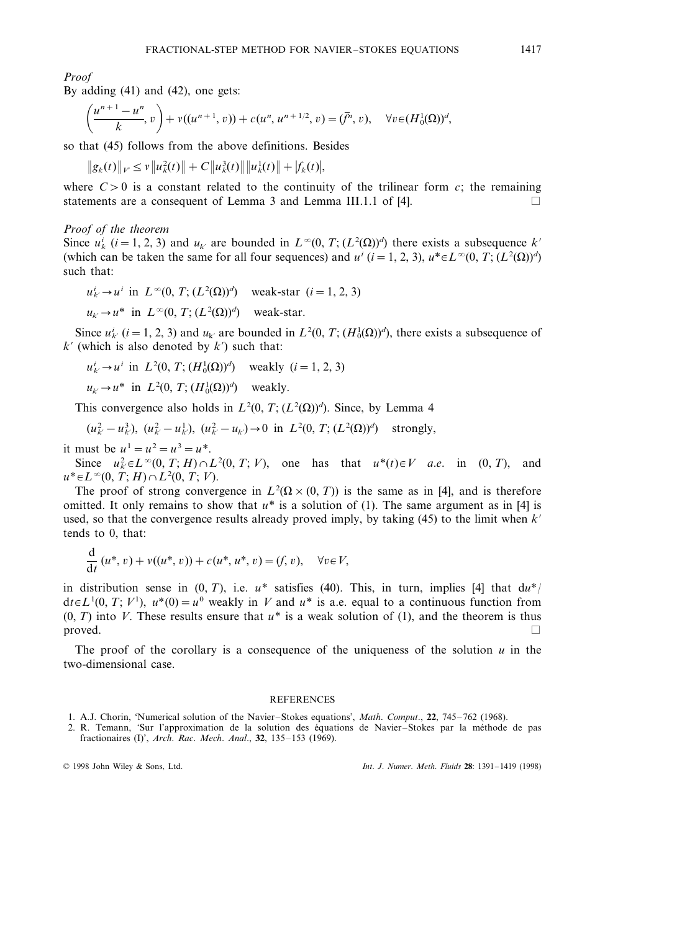*Proof*

By adding (41) and (42), one gets:

$$
\left(\frac{u^{n+1}-u^n}{k},v\right)+v((u^{n+1},v))+c(u^n,u^{n+1/2},v)=(\bar{f}^n,v),\quad\forall v\in (H_0^1(\Omega))^d,
$$

so that (45) follows from the above definitions. Besides

$$
||g_k(t)||_{V'} \leq v||u_k^2(t)|| + C||u_k^3(t)|| ||u_k^1(t)|| + |f_k(t)|,
$$

where  $C>0$  is a constant related to the continuity of the trilinear form  $c$ ; the remaining statements are a consequent of Lemma 3 and Lemma III.1.1 of [4].

#### *Proof of the theorem*

Since  $u_k^i$  (*i* = 1, 2, 3) and  $u_k$  are bounded in  $L^{\infty}(0, T; (L^2(\Omega))^d)$  there exists a subsequence *k'* (which can be taken the same for all four sequences) and  $u^i$  ( $i = 1, 2, 3$ ),  $u^* \in L^\infty(0, T; (L^2(\Omega))^d)$ such that:

$$
u'_{k'} \to u^{i} \text{ in } L^{\infty}(0, T; (L^{2}(\Omega))^d) \text{ weak-star } (i = 1, 2, 3)
$$
  

$$
u_{k'} \to u^* \text{ in } L^{\infty}(0, T; (L^{2}(\Omega))^d) \text{ weak-star.}
$$

Since  $u^i_k$  (*i* = 1, 2, 3) and  $u_k$  are bounded in  $L^2(0, T; (H_0^1(\Omega))^d)$ , there exists a subsequence of  $k'$  (which is also denoted by  $k'$ ) such that:

 $u^i_k \to u^i$  in  $L^2(0, T; (H_0^1(\Omega))^d)$  weakly  $(i = 1, 2, 3)$  $u_k \to u^*$  in  $L^2(0, T; (H_0^1(\Omega))^d)$  weakly.

This convergence also holds in  $L^2(0, T; (L^2(\Omega))^d)$ . Since, by Lemma 4

$$
(u_k^2 - u_k^3)
$$
,  $(u_k^2 - u_k^1)$ ,  $(u_k^2 - u_k) \to 0$  in  $L^2(0, T; (L^2(\Omega))^d)$  strongly,

it must be  $u^1 = u^2 = u^3 = u^*$ .

Since  $u_k^2 \in L^\infty(0, T; H) \cap L^2(0, T; V)$ , one has that  $u^*(t) \in V$  *a.e.* in  $(0, T)$ , and  $u^* \in L^\infty(0, T; H) \cap L^2(0, T; V).$ 

The proof of strong convergence in  $L^2(\Omega \times (0, T))$  is the same as in [4], and is therefore omitted. It only remains to show that  $u^*$  is a solution of (1). The same argument as in [4] is used, so that the convergence results already proved imply, by taking  $(45)$  to the limit when  $k'$ tends to 0, that:

$$
\frac{d}{dt}(u^*, v) + v((u^*, v)) + c(u^*, u^*, v) = (f, v), \quad \forall v \in V,
$$

in distribution sense in  $(0, T)$ , i.e.  $u^*$  satisfies (40). This, in turn, implies [4] that  $du^*/$  $dt \in L^1(0, T; V^1)$ ,  $u^*(0) = u^0$  weakly in *V* and  $u^*$  is a.e. equal to a continuous function from  $(0, T)$  into *V*. These results ensure that  $u^*$  is a weak solution of (1), and the theorem is thus  $\Box$ 

The proof of the corollary is a consequence of the uniqueness of the solution  $u$  in the two-dimensional case.

#### **REFERENCES**

- 1. A.J. Chorin, 'Numerical solution of the Navier–Stokes equations', *Math*. *Comput*., **22**, 745–762 (1968).
- 2. R. Temann, 'Sur l'approximation de la solution des équations de Navier–Stokes par la méthode de pas fractionaires (I)', *Arch*. *Rac*. *Mech*. *Anal*., **32**, 135–153 (1969).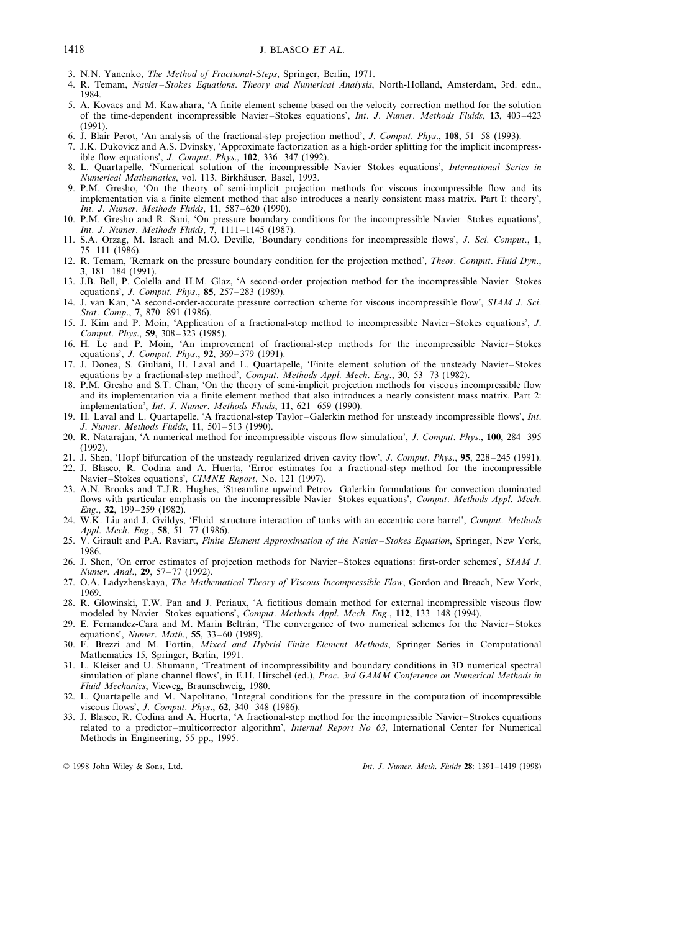#### 1418 J. BLASCO ET AL.

- 3. N.N. Yanenko, *The Method of Fractional*-*Steps*, Springer, Berlin, 1971.
- 4. R. Temam, *Na*6*ier*–*Stokes Equations*. *Theory and Numerical Analysis*, North-Holland, Amsterdam, 3rd. edn., 1984.
- 5. A. Kovacs and M. Kawahara, 'A finite element scheme based on the velocity correction method for the solution of the time-dependent incompressible Navier–Stokes equations', *Int*. *J*. *Numer*. *Methods Fluids*, **13**, 403–423 (1991).
- 6. J. Blair Perot, 'An analysis of the fractional-step projection method', *J*. *Comput*. *Phys*., **108**, 51–58 (1993).
- 7. J.K. Dukovicz and A.S. Dvinsky, 'Approximate factorization as a high-order splitting for the implicit incompressible flow equations', *J*. *Comput*. *Phys*., **102**, 336–347 (1992).
- 8. L. Quartapelle, 'Numerical solution of the incompressible Navier–Stokes equations', *International Series in Numerical Mathematics*, vol. 113, Birkha¨user, Basel, 1993.
- 9. P.M. Gresho, 'On the theory of semi-implicit projection methods for viscous incompressible flow and its implementation via a finite element method that also introduces a nearly consistent mass matrix. Part I: theory', *Int*. *J*. *Numer*. *Methods Fluids*, **11**, 587–620 (1990).
- 10. P.M. Gresho and R. Sani, 'On pressure boundary conditions for the incompressible Navier–Stokes equations', *Int*. *J*. *Numer*. *Methods Fluids*, **7**, 1111–1145 (1987).
- 11. S.A. Orzag, M. Israeli and M.O. Deville, 'Boundary conditions for incompressible flows', *J*. *Sci*. *Comput*., **1**, 75–111 (1986).
- 12. R. Temam, 'Remark on the pressure boundary condition for the projection method', *Theor*. *Comput*. *Fluid Dyn*., **3**, 181–184 (1991).
- 13. J.B. Bell, P. Colella and H.M. Glaz, 'A second-order projection method for the incompressible Navier–Stokes equations', *J*. *Comput*. *Phys*., **85**, 257–283 (1989).
- 14. J. van Kan, 'A second-order-accurate pressure correction scheme for viscous incompressible flow', *SIAM J*. *Sci*. *Stat*. *Comp*., **7**, 870–891 (1986).
- 15. J. Kim and P. Moin, 'Application of a fractional-step method to incompressible Navier–Stokes equations', *J*. *Comput*. *Phys*., **59**, 308–323 (1985).
- 16. H. Le and P. Moin, 'An improvement of fractional-step methods for the incompressible Navier–Stokes equations', *J*. *Comput*. *Phys*., **92**, 369–379 (1991).
- 17. J. Donea, S. Giuliani, H. Laval and L. Quartapelle, 'Finite element solution of the unsteady Navier–Stokes equations by a fractional-step method', *Comput*. *Methods Appl*. *Mech*. *Eng*., **30**, 53–73 (1982).
- 18. P.M. Gresho and S.T. Chan, 'On the theory of semi-implicit projection methods for viscous incompressible flow and its implementation via a finite element method that also introduces a nearly consistent mass matrix. Part 2: implementation', *Int*. *J*. *Numer*. *Methods Fluids*, **11**, 621–659 (1990).
- 19. H. Laval and L. Quartapelle, 'A fractional-step Taylor–Galerkin method for unsteady incompressible flows', *Int*. *J*. *Numer*. *Methods Fluids*, **11**, 501–513 (1990).
- 20. R. Natarajan, 'A numerical method for incompressible viscous flow simulation', *J*. *Comput*. *Phys*., **100**, 284–395 (1992).
- 21. J. Shen, 'Hopf bifurcation of the unsteady regularized driven cavity flow', *J*. *Comput*. *Phys*., **95**, 228–245 (1991).
- 22. J. Blasco, R. Codina and A. Huerta, 'Error estimates for a fractional-step method for the incompressible Navier–Stokes equations', *CIMNE Report*, No. 121 (1997).
- 23. A.N. Brooks and T.J.R. Hughes, 'Streamline upwind Petrov–Galerkin formulations for convection dominated flows with particular emphasis on the incompressible Navier–Stokes equations', *Comput*. *Methods Appl*. *Mech*. *Eng*., **32**, 199–259 (1982).
- 24. W.K. Liu and J. Gvildys, 'Fluid–structure interaction of tanks with an eccentric core barrel', *Comput*. *Methods Appl*. *Mech*. *Eng*., **58**, 51–77 (1986).
- 25. V. Girault and P.A. Raviart, *Finite Element Approximation of the Na*6*ier*–*Stokes Equation*, Springer, New York, 1986.
- 26. J. Shen, 'On error estimates of projection methods for Navier–Stokes equations: first-order schemes', *SIAM J*. *Numer*. *Anal*., **29**, 57–77 (1992).
- 27. O.A. Ladyzhenskaya, *The Mathematical Theory of Viscous Incompressible Flow*, Gordon and Breach, New York, 1969.
- 28. R. Glowinski, T.W. Pan and J. Periaux, 'A fictitious domain method for external incompressible viscous flow modeled by Navier–Stokes equations', *Comput*. *Methods Appl*. *Mech*. *Eng*., **112**, 133–148 (1994).
- 29. E. Fernandez-Cara and M. Marin Beltra´n, 'The convergence of two numerical schemes for the Navier–Stokes equations', *Numer*. *Math*., **55**, 33–60 (1989).
- 30. F. Brezzi and M. Fortin, *Mixed and Hybrid Finite Element Methods*, Springer Series in Computational Mathematics 15, Springer, Berlin, 1991.
- 31. L. Kleiser and U. Shumann, 'Treatment of incompressibility and boundary conditions in 3D numerical spectral simulation of plane channel flows', in E.H. Hirschel (ed.), *Proc*. 3*rd GAMM Conference on Numerical Methods in Fluid Mechanics*, Vieweg, Braunschweig, 1980.
- 32. L. Quartapelle and M. Napolitano, 'Integral conditions for the pressure in the computation of incompressible viscous flows', *J*. *Comput*. *Phys*., **62**, 340–348 (1986).
- 33. J. Blasco, R. Codina and A. Huerta, 'A fractional-step method for the incompressible Navier–Strokes equations related to a predictor–multicorrector algorithm', *Internal Report No* 63, International Center for Numerical Methods in Engineering, 55 pp., 1995.